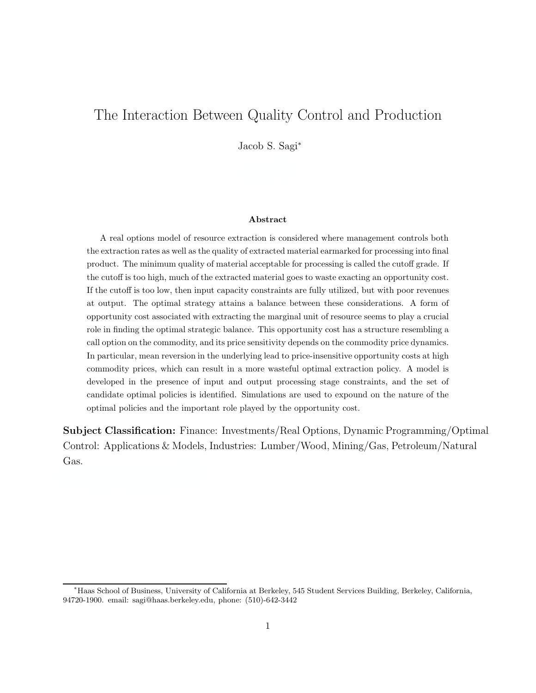# The Interaction Between Quality Control and Production

Jacob S. Sagi<sup>∗</sup>

#### **Abstract**

A real options model of resource extraction is considered where management controls both the extraction rates as well as the quality of extracted material earmarked for processing into final product. The minimum quality of material acceptable for processing is called the cutoff grade. If the cutoff is too high, much of the extracted material goes to waste exacting an opportunity cost. If the cutoff is too low, then input capacity constraints are fully utilized, but with poor revenues at output. The optimal strategy attains a balance between these considerations. A form of opportunity cost associated with extracting the marginal unit of resource seems to play a crucial role in finding the optimal strategic balance. This opportunity cost has a structure resembling a call option on the commodity, and its price sensitivity depends on the commodity price dynamics. In particular, mean reversion in the underlying lead to price-insensitive opportunity costs at high commodity prices, which can result in a more wasteful optimal extraction policy. A model is developed in the presence of input and output processing stage constraints, and the set of candidate optimal policies is identified. Simulations are used to expound on the nature of the optimal policies and the important role played by the opportunity cost.

**Subject Classification:** Finance: Investments/Real Options, Dynamic Programming/Optimal Control: Applications & Models, Industries: Lumber/Wood, Mining/Gas, Petroleum/Natural Gas.

<sup>∗</sup>Haas School of Business, University of California at Berkeley, 545 Student Services Building, Berkeley, California, 94720-1900. email: sagi@haas.berkeley.edu, phone: (510)-642-3442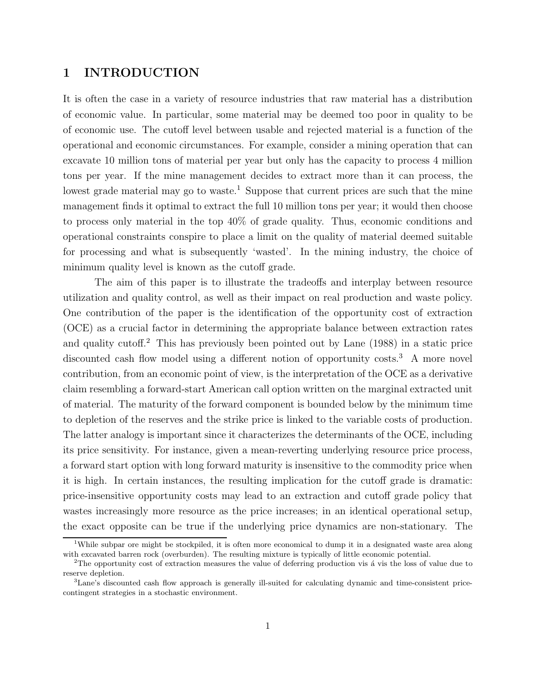### **1 INTRODUCTION**

It is often the case in a variety of resource industries that raw material has a distribution of economic value. In particular, some material may be deemed too poor in quality to be of economic use. The cutoff level between usable and rejected material is a function of the operational and economic circumstances. For example, consider a mining operation that can excavate 10 million tons of material per year but only has the capacity to process 4 million tons per year. If the mine management decides to extract more than it can process, the lowest grade material may go to waste.<sup>1</sup> Suppose that current prices are such that the mine management finds it optimal to extract the full 10 million tons per year; it would then choose to process only material in the top 40% of grade quality. Thus, economic conditions and operational constraints conspire to place a limit on the quality of material deemed suitable for processing and what is subsequently 'wasted'. In the mining industry, the choice of minimum quality level is known as the cutoff grade.

The aim of this paper is to illustrate the tradeoffs and interplay between resource utilization and quality control, as well as their impact on real production and waste policy. One contribution of the paper is the identification of the opportunity cost of extraction (OCE) as a crucial factor in determining the appropriate balance between extraction rates and quality cutoff.<sup>2</sup> This has previously been pointed out by Lane (1988) in a static price discounted cash flow model using a different notion of opportunity costs.<sup>3</sup> A more novel contribution, from an economic point of view, is the interpretation of the OCE as a derivative claim resembling a forward-start American call option written on the marginal extracted unit of material. The maturity of the forward component is bounded below by the minimum time to depletion of the reserves and the strike price is linked to the variable costs of production. The latter analogy is important since it characterizes the determinants of the OCE, including its price sensitivity. For instance, given a mean-reverting underlying resource price process, a forward start option with long forward maturity is insensitive to the commodity price when it is high. In certain instances, the resulting implication for the cutoff grade is dramatic: price-insensitive opportunity costs may lead to an extraction and cutoff grade policy that wastes increasingly more resource as the price increases; in an identical operational setup, the exact opposite can be true if the underlying price dynamics are non-stationary. The

<sup>&</sup>lt;sup>1</sup>While subpar ore might be stockpiled, it is often more economical to dump it in a designated waste area along with excavated barren rock (overburden). The resulting mixture is typically of little economic potential.

 $2$ The opportunity cost of extraction measures the value of deferring production vis  $\acute{a}$  vis the loss of value due to reserve depletion.

<sup>3</sup>Lane's discounted cash flow approach is generally ill-suited for calculating dynamic and time-consistent pricecontingent strategies in a stochastic environment.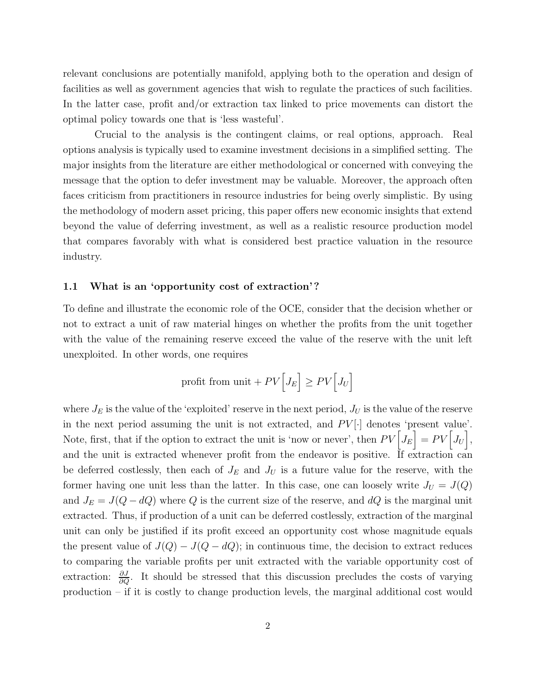relevant conclusions are potentially manifold, applying both to the operation and design of facilities as well as government agencies that wish to regulate the practices of such facilities. In the latter case, profit and/or extraction tax linked to price movements can distort the optimal policy towards one that is 'less wasteful'.

Crucial to the analysis is the contingent claims, or real options, approach. Real options analysis is typically used to examine investment decisions in a simplified setting. The major insights from the literature are either methodological or concerned with conveying the message that the option to defer investment may be valuable. Moreover, the approach often faces criticism from practitioners in resource industries for being overly simplistic. By using the methodology of modern asset pricing, this paper offers new economic insights that extend beyond the value of deferring investment, as well as a realistic resource production model that compares favorably with what is considered best practice valuation in the resource industry.

#### **1.1 What is an 'opportunity cost of extraction' ?**

To define and illustrate the economic role of the OCE, consider that the decision whether or not to extract a unit of raw material hinges on whether the profits from the unit together with the value of the remaining reserve exceed the value of the reserve with the unit left unexploited. In other words, one requires

$$
\text{profit from unit} + PV\Big[J_E\Big] \geq PV\Big[J_U\Big]
$$

where  $J_E$  is the value of the 'exploited' reserve in the next period,  $J_U$  is the value of the reserve in the next period assuming the unit is not extracted, and  $PV[\cdot]$  denotes 'present value'. Note, first, that if the option to extract the unit is 'now or never', then  $PV\Big[J_E\Big] = PV\Big[J_U\Big]$ , and the unit is extracted whenever profit from the endeavor is positive. If extraction can be deferred costlessly, then each of  $J_E$  and  $J_U$  is a future value for the reserve, with the former having one unit less than the latter. In this case, one can loosely write  $J_U = J(Q)$ and  $J_E = J(Q - dQ)$  where Q is the current size of the reserve, and  $dQ$  is the marginal unit extracted. Thus, if production of a unit can be deferred costlessly, extraction of the marginal unit can only be justified if its profit exceed an opportunity cost whose magnitude equals the present value of  $J(Q) - J(Q - dQ)$ ; in continuous time, the decision to extract reduces to comparing the variable profits per unit extracted with the variable opportunity cost of extraction:  $\frac{\partial J}{\partial Q}$ . It should be stressed that this discussion precludes the costs of varying production – if it is costly to change production levels, the marginal additional cost would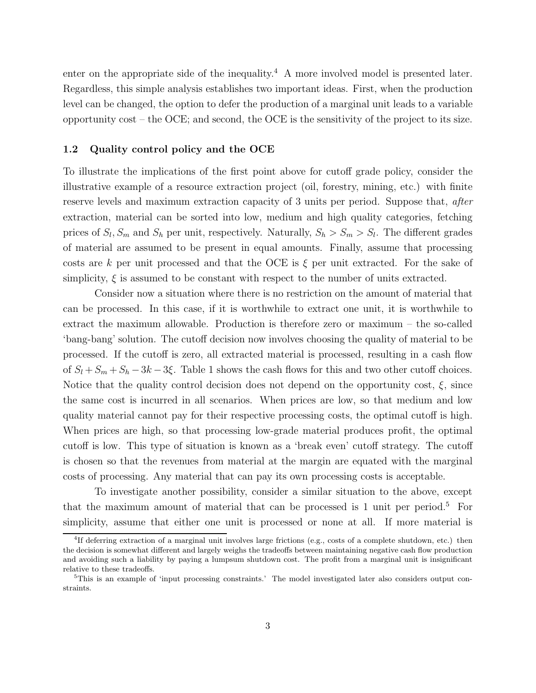enter on the appropriate side of the inequality.<sup>4</sup> A more involved model is presented later. Regardless, this simple analysis establishes two important ideas. First, when the production level can be changed, the option to defer the production of a marginal unit leads to a variable opportunity cost – the OCE; and second, the OCE is the sensitivity of the project to its size.

#### **1.2 Quality control policy and the OCE**

To illustrate the implications of the first point above for cutoff grade policy, consider the illustrative example of a resource extraction project (oil, forestry, mining, etc.) with finite reserve levels and maximum extraction capacity of 3 units per period. Suppose that, after extraction, material can be sorted into low, medium and high quality categories, fetching prices of  $S_l$ ,  $S_m$  and  $S_h$  per unit, respectively. Naturally,  $S_h > S_m > S_l$ . The different grades of material are assumed to be present in equal amounts. Finally, assume that processing costs are k per unit processed and that the OCE is  $\xi$  per unit extracted. For the sake of simplicity,  $\xi$  is assumed to be constant with respect to the number of units extracted.

Consider now a situation where there is no restriction on the amount of material that can be processed. In this case, if it is worthwhile to extract one unit, it is worthwhile to extract the maximum allowable. Production is therefore zero or maximum – the so-called 'bang-bang' solution. The cutoff decision now involves choosing the quality of material to be processed. If the cutoff is zero, all extracted material is processed, resulting in a cash flow of  $S_l + S_m + S_h - 3k - 3\xi$ . Table 1 shows the cash flows for this and two other cutoff choices. Notice that the quality control decision does not depend on the opportunity cost,  $\xi$ , since the same cost is incurred in all scenarios. When prices are low, so that medium and low quality material cannot pay for their respective processing costs, the optimal cutoff is high. When prices are high, so that processing low-grade material produces profit, the optimal cutoff is low. This type of situation is known as a 'break even' cutoff strategy. The cutoff is chosen so that the revenues from material at the margin are equated with the marginal costs of processing. Any material that can pay its own processing costs is acceptable.

To investigate another possibility, consider a similar situation to the above, except that the maximum amount of material that can be processed is 1 unit per period.<sup>5</sup> For simplicity, assume that either one unit is processed or none at all. If more material is

<sup>&</sup>lt;sup>4</sup>If deferring extraction of a marginal unit involves large frictions (e.g., costs of a complete shutdown, etc.) then the decision is somewhat different and largely weighs the tradeoffs between maintaining negative cash flow production and avoiding such a liability by paying a lumpsum shutdown cost. The profit from a marginal unit is insignificant relative to these tradeoffs.

<sup>&</sup>lt;sup>5</sup>This is an example of 'input processing constraints.' The model investigated later also considers output constraints.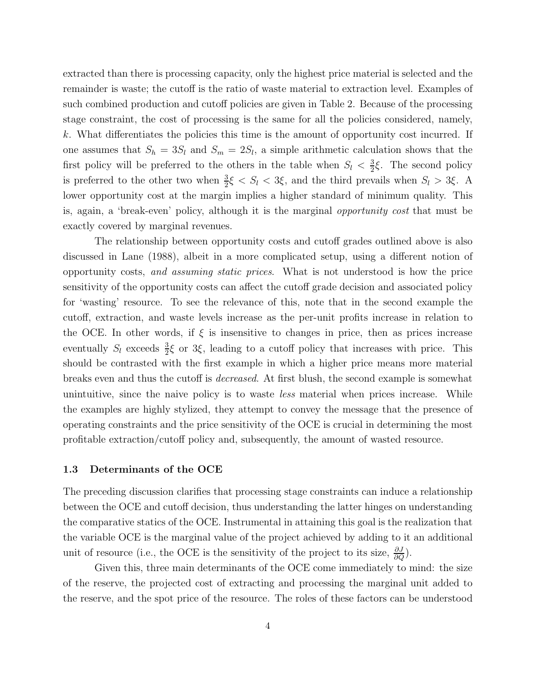extracted than there is processing capacity, only the highest price material is selected and the remainder is waste; the cutoff is the ratio of waste material to extraction level. Examples of such combined production and cutoff policies are given in Table 2. Because of the processing stage constraint, the cost of processing is the same for all the policies considered, namely, k. What differentiates the policies this time is the amount of opportunity cost incurred. If one assumes that  $S_h = 3S_l$  and  $S_m = 2S_l$ , a simple arithmetic calculation shows that the first policy will be preferred to the others in the table when  $S_l < \frac{3}{2}\xi$ . The second policy is preferred to the other two when  $\frac{3}{2}\xi < S_l < 3\xi$ , and the third prevails when  $S_l > 3\xi$ . A lower opportunity cost at the margin implies a higher standard of minimum quality. This is, again, a 'break-even' policy, although it is the marginal opportunity cost that must be exactly covered by marginal revenues.

The relationship between opportunity costs and cutoff grades outlined above is also discussed in Lane (1988), albeit in a more complicated setup, using a different notion of opportunity costs, and assuming static prices. What is not understood is how the price sensitivity of the opportunity costs can affect the cutoff grade decision and associated policy for 'wasting' resource. To see the relevance of this, note that in the second example the cutoff, extraction, and waste levels increase as the per-unit profits increase in relation to the OCE. In other words, if  $\xi$  is insensitive to changes in price, then as prices increase eventually  $S_l$  exceeds  $\frac{3}{2}\xi$  or 3 $\xi$ , leading to a cutoff policy that increases with price. This should be contrasted with the first example in which a higher price means more material breaks even and thus the cutoff is decreased. At first blush, the second example is somewhat unintuitive, since the naive policy is to waste *less* material when prices increase. While the examples are highly stylized, they attempt to convey the message that the presence of operating constraints and the price sensitivity of the OCE is crucial in determining the most profitable extraction/cutoff policy and, subsequently, the amount of wasted resource.

#### **1.3 Determinants of the OCE**

The preceding discussion clarifies that processing stage constraints can induce a relationship between the OCE and cutoff decision, thus understanding the latter hinges on understanding the comparative statics of the OCE. Instrumental in attaining this goal is the realization that the variable OCE is the marginal value of the project achieved by adding to it an additional unit of resource (i.e., the OCE is the sensitivity of the project to its size,  $\frac{\partial J}{\partial Q}$ ).

Given this, three main determinants of the OCE come immediately to mind: the size of the reserve, the projected cost of extracting and processing the marginal unit added to the reserve, and the spot price of the resource. The roles of these factors can be understood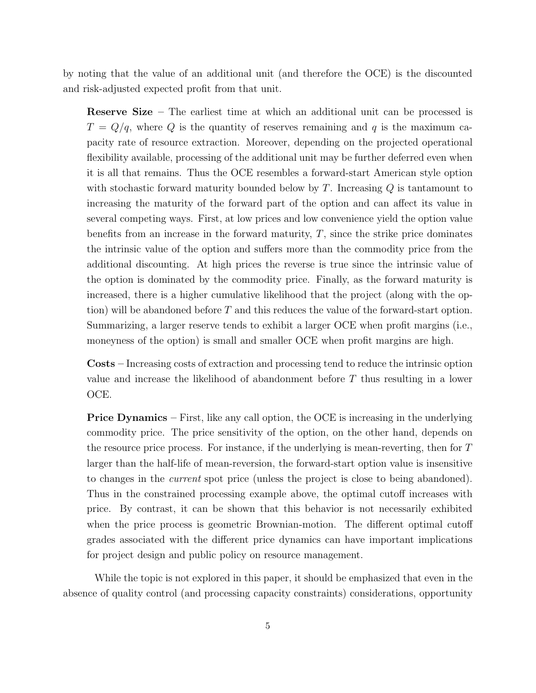by noting that the value of an additional unit (and therefore the OCE) is the discounted and risk-adjusted expected profit from that unit.

**Reserve Size –** The earliest time at which an additional unit can be processed is  $T = Q/q$ , where Q is the quantity of reserves remaining and q is the maximum capacity rate of resource extraction. Moreover, depending on the projected operational flexibility available, processing of the additional unit may be further deferred even when it is all that remains. Thus the OCE resembles a forward-start American style option with stochastic forward maturity bounded below by  $T$ . Increasing  $Q$  is tantamount to increasing the maturity of the forward part of the option and can affect its value in several competing ways. First, at low prices and low convenience yield the option value benefits from an increase in the forward maturity,  $T$ , since the strike price dominates the intrinsic value of the option and suffers more than the commodity price from the additional discounting. At high prices the reverse is true since the intrinsic value of the option is dominated by the commodity price. Finally, as the forward maturity is increased, there is a higher cumulative likelihood that the project (along with the option) will be abandoned before  $T$  and this reduces the value of the forward-start option. Summarizing, a larger reserve tends to exhibit a larger OCE when profit margins (i.e., moneyness of the option) is small and smaller OCE when profit margins are high.

**Costs –** Increasing costs of extraction and processing tend to reduce the intrinsic option value and increase the likelihood of abandonment before T thus resulting in a lower OCE.

**Price Dynamics** – First, like any call option, the OCE is increasing in the underlying commodity price. The price sensitivity of the option, on the other hand, depends on the resource price process. For instance, if the underlying is mean-reverting, then for T larger than the half-life of mean-reversion, the forward-start option value is insensitive to changes in the current spot price (unless the project is close to being abandoned). Thus in the constrained processing example above, the optimal cutoff increases with price. By contrast, it can be shown that this behavior is not necessarily exhibited when the price process is geometric Brownian-motion. The different optimal cutoff grades associated with the different price dynamics can have important implications for project design and public policy on resource management.

While the topic is not explored in this paper, it should be emphasized that even in the absence of quality control (and processing capacity constraints) considerations, opportunity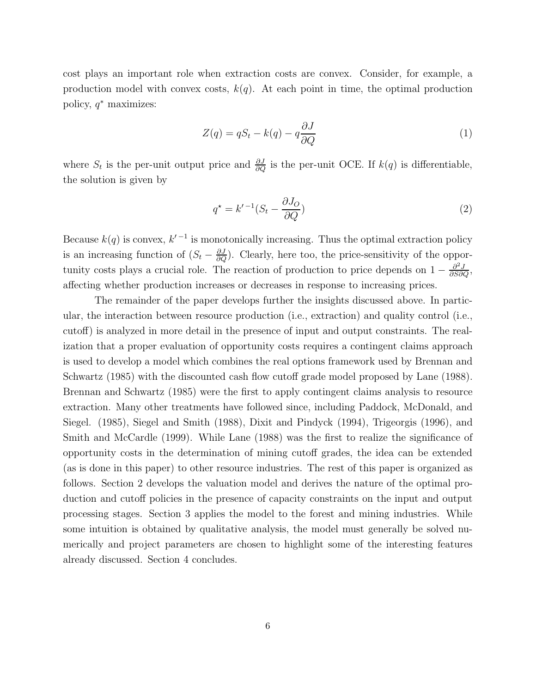cost plays an important role when extraction costs are convex. Consider, for example, a production model with convex costs,  $k(q)$ . At each point in time, the optimal production policy,  $q^*$  maximizes:

$$
Z(q) = qS_t - k(q) - q\frac{\partial J}{\partial Q}
$$
\n<sup>(1)</sup>

where  $S_t$  is the per-unit output price and  $\frac{\partial J}{\partial Q}$  is the per-unit OCE. If  $k(q)$  is differentiable, the solution is given by

$$
q^* = k'^{-1}(S_t - \frac{\partial J_O}{\partial Q})
$$
\n<sup>(2)</sup>

Because  $k(q)$  is convex,  $k'^{-1}$  is monotonically increasing. Thus the optimal extraction policy is an increasing function of  $(S_t - \frac{\partial J}{\partial Q})$ . Clearly, here too, the price-sensitivity of the opportunity costs plays a crucial role. The reaction of production to price depends on  $1 - \frac{\partial^2 J}{\partial S \partial Q}$ , affecting whether production increases or decreases in response to increasing prices.

The remainder of the paper develops further the insights discussed above. In particular, the interaction between resource production (i.e., extraction) and quality control (i.e., cutoff) is analyzed in more detail in the presence of input and output constraints. The realization that a proper evaluation of opportunity costs requires a contingent claims approach is used to develop a model which combines the real options framework used by Brennan and Schwartz (1985) with the discounted cash flow cutoff grade model proposed by Lane (1988). Brennan and Schwartz (1985) were the first to apply contingent claims analysis to resource extraction. Many other treatments have followed since, including Paddock, McDonald, and Siegel. (1985), Siegel and Smith (1988), Dixit and Pindyck (1994), Trigeorgis (1996), and Smith and McCardle (1999). While Lane (1988) was the first to realize the significance of opportunity costs in the determination of mining cutoff grades, the idea can be extended (as is done in this paper) to other resource industries. The rest of this paper is organized as follows. Section 2 develops the valuation model and derives the nature of the optimal production and cutoff policies in the presence of capacity constraints on the input and output processing stages. Section 3 applies the model to the forest and mining industries. While some intuition is obtained by qualitative analysis, the model must generally be solved numerically and project parameters are chosen to highlight some of the interesting features already discussed. Section 4 concludes.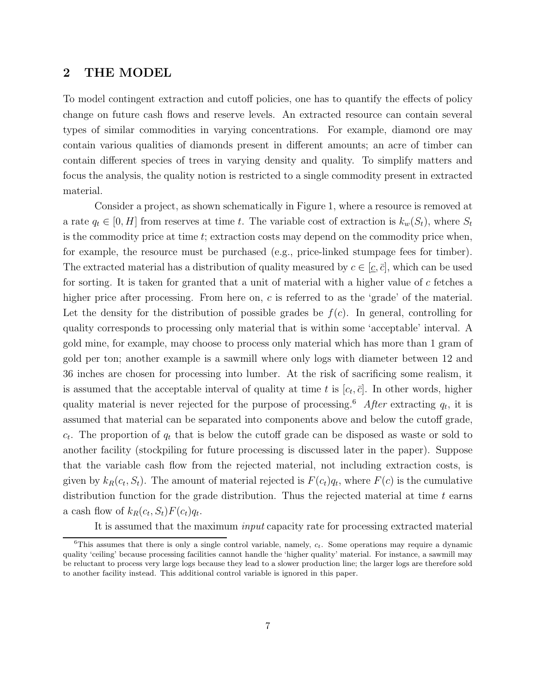### **2 THE MODEL**

To model contingent extraction and cutoff policies, one has to quantify the effects of policy change on future cash flows and reserve levels. An extracted resource can contain several types of similar commodities in varying concentrations. For example, diamond ore may contain various qualities of diamonds present in different amounts; an acre of timber can contain different species of trees in varying density and quality. To simplify matters and focus the analysis, the quality notion is restricted to a single commodity present in extracted material.

Consider a project, as shown schematically in Figure 1, where a resource is removed at a rate  $q_t \in [0, H]$  from reserves at time t. The variable cost of extraction is  $k_w(S_t)$ , where  $S_t$ is the commodity price at time  $t$ ; extraction costs may depend on the commodity price when, for example, the resource must be purchased (e.g., price-linked stumpage fees for timber). The extracted material has a distribution of quality measured by  $c \in [c, \bar{c}]$ , which can be used for sorting. It is taken for granted that a unit of material with a higher value of  $c$  fetches a higher price after processing. From here on, c is referred to as the 'grade' of the material. Let the density for the distribution of possible grades be  $f(c)$ . In general, controlling for quality corresponds to processing only material that is within some 'acceptable' interval. A gold mine, for example, may choose to process only material which has more than 1 gram of gold per ton; another example is a sawmill where only logs with diameter between 12 and 36 inches are chosen for processing into lumber. At the risk of sacrificing some realism, it is assumed that the acceptable interval of quality at time t is  $[c_t, \bar{c}]$ . In other words, higher quality material is never rejected for the purpose of processing.<sup>6</sup> After extracting  $q_t$ , it is assumed that material can be separated into components above and below the cutoff grade,  $c_t$ . The proportion of  $q_t$  that is below the cutoff grade can be disposed as waste or sold to another facility (stockpiling for future processing is discussed later in the paper). Suppose that the variable cash flow from the rejected material, not including extraction costs, is given by  $k_R(c_t, S_t)$ . The amount of material rejected is  $F(c_t)q_t$ , where  $F(c)$  is the cumulative distribution function for the grade distribution. Thus the rejected material at time  $t$  earns a cash flow of  $k_R(c_t, S_t)F(c_t)q_t$ .

It is assumed that the maximum input capacity rate for processing extracted material

 ${}^{6}$ This assumes that there is only a single control variable, namely,  $c_t$ . Some operations may require a dynamic quality 'ceiling' because processing facilities cannot handle the 'higher quality' material. For instance, a sawmill may be reluctant to process very large logs because they lead to a slower production line; the larger logs are therefore sold to another facility instead. This additional control variable is ignored in this paper.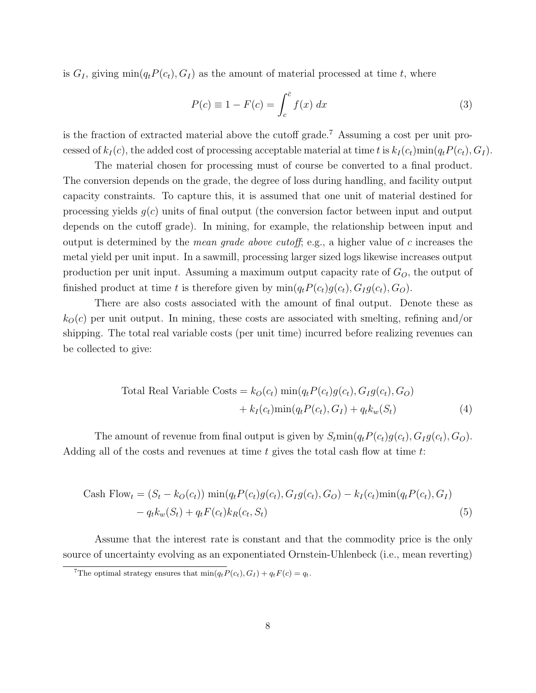is  $G_I$ , giving  $\min(q_t P(c_t), G_I)$  as the amount of material processed at time t, where

$$
P(c) \equiv 1 - F(c) = \int_{c}^{\bar{c}} f(x) dx
$$
\n(3)

is the fraction of extracted material above the cutoff grade.<sup>7</sup> Assuming a cost per unit processed of  $k_I(c)$ , the added cost of processing acceptable material at time t is  $k_I(c_t)$ min $(q_t P(c_t), G_I)$ .

The material chosen for processing must of course be converted to a final product. The conversion depends on the grade, the degree of loss during handling, and facility output capacity constraints. To capture this, it is assumed that one unit of material destined for processing yields  $g(c)$  units of final output (the conversion factor between input and output depends on the cutoff grade). In mining, for example, the relationship between input and output is determined by the *mean grade above cutoff*; e.g., a higher value of c increases the metal yield per unit input. In a sawmill, processing larger sized logs likewise increases output production per unit input. Assuming a maximum output capacity rate of  $G_O$ , the output of finished product at time t is therefore given by  $min(q_t P(c_t)g(c_t), G_I g(c_t), G_O)$ .

There are also costs associated with the amount of final output. Denote these as  $k<sub>O</sub>(c)$  per unit output. In mining, these costs are associated with smelting, refining and/or shipping. The total real variable costs (per unit time) incurred before realizing revenues can be collected to give:

Total Real Variable Costs = 
$$
k_O(c_t) \min(q_t P(c_t) g(c_t), G_I g(c_t), G_O)
$$
  
+  $k_I(c_t) \min(q_t P(c_t), G_I) + q_t k_w(S_t)$  (4)

The amount of revenue from final output is given by  $S_t$ min $(q_t P(c_t)g(c_t), G_I g(c_t), G_O)$ . Adding all of the costs and revenues at time  $t$  gives the total cash flow at time  $t$ :

Cash Flow<sub>t</sub> = 
$$
(S_t - k_O(c_t)) \min(q_t P(c_t) g(c_t), G_I g(c_t), G_O) - k_I(c_t) \min(q_t P(c_t), G_I)
$$
  
-  $q_t k_w(S_t) + q_t F(c_t) k_R(c_t, S_t)$  (5)

Assume that the interest rate is constant and that the commodity price is the only source of uncertainty evolving as an exponentiated Ornstein-Uhlenbeck (i.e., mean reverting)

<sup>&</sup>lt;sup>7</sup>The optimal strategy ensures that  $min(q_t P(c_t), G_I) + q_t F(c) = q_t$ .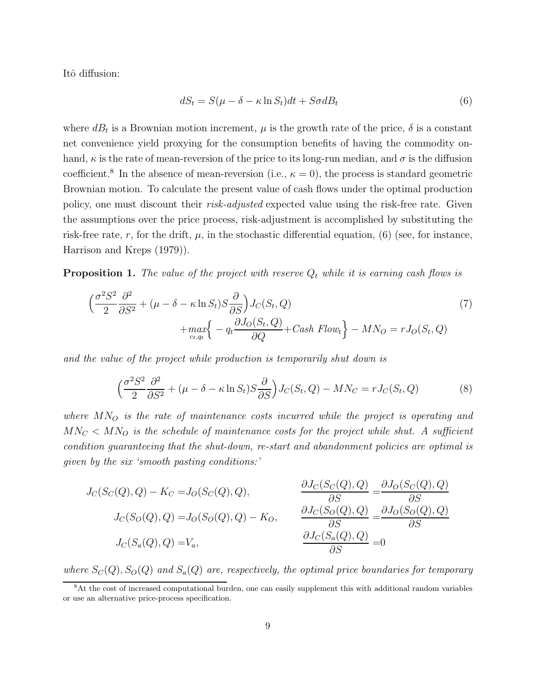Itô diffusion:

$$
dS_t = S(\mu - \delta - \kappa \ln S_t)dt + S\sigma dB_t
$$
\n(6)

where  $dB_t$  is a Brownian motion increment,  $\mu$  is the growth rate of the price,  $\delta$  is a constant net convenience yield proxying for the consumption benefits of having the commodity onhand,  $\kappa$  is the rate of mean-reversion of the price to its long-run median, and  $\sigma$  is the diffusion coefficient.<sup>8</sup> In the absence of mean-reversion (i.e.,  $\kappa = 0$ ), the process is standard geometric Brownian motion. To calculate the present value of cash flows under the optimal production policy, one must discount their *risk-adjusted* expected value using the risk-free rate. Given the assumptions over the price process, risk-adjustment is accomplished by substituting the risk-free rate, r, for the drift,  $\mu$ , in the stochastic differential equation, (6) (see, for instance, Harrison and Kreps (1979)).

**Proposition 1.** The value of the project with reserve  $Q_t$  while it is earning cash flows is

$$
\left(\frac{\sigma^2 S^2}{2} \frac{\partial^2}{\partial S^2} + (\mu - \delta - \kappa \ln S_t) S \frac{\partial}{\partial S}\right) J_C(S_t, Q) + \max_{c_t, q_t} \left\{ -q_t \frac{\partial J_O(S_t, Q)}{\partial Q} + Cash \ Flow_t \right\} - MN_O = r J_O(S_t, Q)
$$
(7)

and the value of the project while production is temporarily shut down is

$$
\left(\frac{\sigma^2 S^2}{2} \frac{\partial^2}{\partial S^2} + (\mu - \delta - \kappa \ln S_t) S \frac{\partial}{\partial S}\right) J_C(S_t, Q) - M N_C = r J_C(S_t, Q) \tag{8}
$$

where  $MN<sub>O</sub>$  is the rate of maintenance costs incurred while the project is operating and  $MN_C < MN_O$  is the schedule of maintenance costs for the project while shut. A sufficient condition guaranteeing that the shut-down, re-start and abandonment policies are optimal is given by the six 'smooth pasting conditions:'

$$
J_C(S_C(Q), Q) - K_C = J_O(S_C(Q), Q),
$$
  
\n
$$
J_C(S_O(Q), Q) = J_O(S_O(Q), Q) - K_O,
$$
  
\n
$$
J_C(S_o(Q), Q) = J_O(S_O(Q), Q) - K_O,
$$
  
\n
$$
\frac{\partial J_C(S_O(Q), Q)}{\partial S} = \frac{\partial J_O(S_O(Q), Q)}{\partial S}
$$
  
\n
$$
J_C(S_a(Q), Q) = V_a,
$$
  
\n
$$
\frac{\partial J_C(S_o(Q), Q)}{\partial S} = 0
$$

where  $S_C(Q)$ ,  $S_O(Q)$  and  $S_a(Q)$  are, respectively, the optimal price boundaries for temporary

<sup>8</sup>At the cost of increased computational burden, one can easily supplement this with additional random variables or use an alternative price-process specification.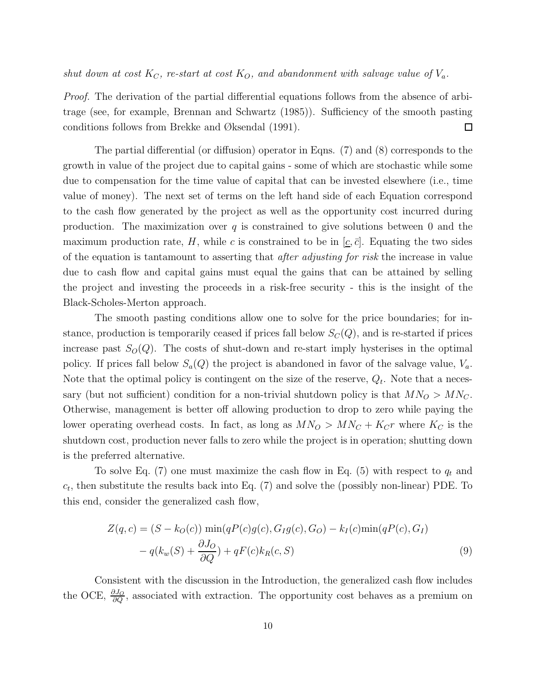shut down at cost  $K_C$ , re-start at cost  $K_O$ , and abandonment with salvage value of  $V_a$ .

Proof. The derivation of the partial differential equations follows from the absence of arbitrage (see, for example, Brennan and Schwartz (1985)). Sufficiency of the smooth pasting conditions follows from Brekke and Øksendal (1991).  $\Box$ 

The partial differential (or diffusion) operator in Eqns. (7) and (8) corresponds to the growth in value of the project due to capital gains - some of which are stochastic while some due to compensation for the time value of capital that can be invested elsewhere (i.e., time value of money). The next set of terms on the left hand side of each Equation correspond to the cash flow generated by the project as well as the opportunity cost incurred during production. The maximization over  $q$  is constrained to give solutions between 0 and the maximum production rate, H, while c is constrained to be in  $[\underline{c}, \overline{c}]$ . Equating the two sides of the equation is tantamount to asserting that *after adjusting for risk* the increase in value due to cash flow and capital gains must equal the gains that can be attained by selling the project and investing the proceeds in a risk-free security - this is the insight of the Black-Scholes-Merton approach.

The smooth pasting conditions allow one to solve for the price boundaries; for instance, production is temporarily ceased if prices fall below  $S<sub>C</sub>(Q)$ , and is re-started if prices increase past  $S_O(Q)$ . The costs of shut-down and re-start imply hysterises in the optimal policy. If prices fall below  $S_a(Q)$  the project is abandoned in favor of the salvage value,  $V_a$ . Note that the optimal policy is contingent on the size of the reserve,  $Q_t$ . Note that a necessary (but not sufficient) condition for a non-trivial shutdown policy is that  $MN_O > MN_C$ . Otherwise, management is better off allowing production to drop to zero while paying the lower operating overhead costs. In fact, as long as  $MN_O > MN_C + K_Cr$  where  $K_C$  is the shutdown cost, production never falls to zero while the project is in operation; shutting down is the preferred alternative.

To solve Eq. (7) one must maximize the cash flow in Eq. (5) with respect to  $q_t$  and  $c_t$ , then substitute the results back into Eq. (7) and solve the (possibly non-linear) PDE. To this end, consider the generalized cash flow,

$$
Z(q, c) = (S - kO(c)) \min(qP(c)g(c), GIg(c), GO) - kI(c) \min(qP(c), GI)
$$

$$
- q(kw(S) + \frac{\partial JO}{\partial Q}) + qF(c)kR(c, S)
$$
(9)

Consistent with the discussion in the Introduction, the generalized cash flow includes the OCE,  $\frac{\partial J_O}{\partial Q}$ , associated with extraction. The opportunity cost behaves as a premium on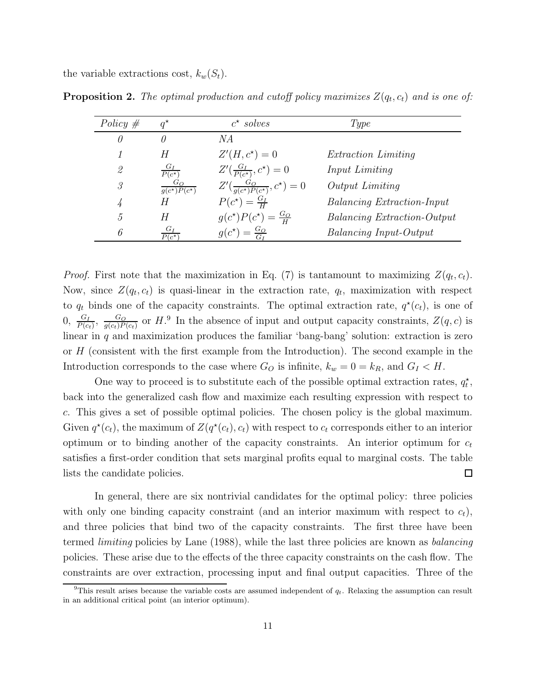the variable extractions cost,  $k_w(S_t)$ .

| Policy $#$    | $q^{\star}$                         | $c^*$ solves                         | Type                               |
|---------------|-------------------------------------|--------------------------------------|------------------------------------|
| 0             | $\theta$                            | N A                                  |                                    |
|               | Н                                   | $Z'(H, c^*) = 0$                     | <i>Extraction Limiting</i>         |
| $\mathscr{Q}$ | $G_I$<br>$P(c^{\star})$             | $Z'(\frac{G_I}{P(c^*)}, c^*) = 0$    | Input Limiting                     |
| 3             | $G_O$<br>$g(c^{\star})P(c^{\star})$ | $Z'(\frac{G_O}{q(c^*)P(c^*)},c^*)=0$ | Output Limiting                    |
|               | Н                                   | $P(c^*) = \frac{G_I}{H}$             | <b>Balancing Extraction-Input</b>  |
| 5,            |                                     | $g(c^*)P(c^*)=\frac{G_O}{H}$         | <b>Balancing Extraction-Output</b> |
| 6             | $P(c^{\star})$                      | $g(c^*) = \frac{G_O}{G}$             | <b>Balancing Input-Output</b>      |

**Proposition 2.** The optimal production and cutoff policy maximizes  $Z(q_t, c_t)$  and is one of:

*Proof.* First note that the maximization in Eq. (7) is tantamount to maximizing  $Z(q_t, c_t)$ . Now, since  $Z(q_t, c_t)$  is quasi-linear in the extraction rate,  $q_t$ , maximization with respect to  $q_t$  binds one of the capacity constraints. The optimal extraction rate,  $q^*(c_t)$ , is one of  $0, \frac{G_I}{P(c_t)}, \frac{G_O}{g(c_t)P(c_t)}$  or  $H$ . In the absence of input and output capacity constraints,  $Z(q, c)$  is linear in  $q$  and maximization produces the familiar 'bang-bang' solution: extraction is zero or H (consistent with the first example from the Introduction). The second example in the Introduction corresponds to the case where  $G_O$  is infinite,  $k_w = 0 = k_R$ , and  $G_I < H$ .

One way to proceed is to substitute each of the possible optimal extraction rates,  $q_t^{\star}$ , back into the generalized cash flow and maximize each resulting expression with respect to c. This gives a set of possible optimal policies. The chosen policy is the global maximum. Given  $q^*(c_t)$ , the maximum of  $Z(q^*(c_t), c_t)$  with respect to  $c_t$  corresponds either to an interior optimum or to binding another of the capacity constraints. An interior optimum for  $c_t$ satisfies a first-order condition that sets marginal profits equal to marginal costs. The table lists the candidate policies.  $\Box$ 

In general, there are six nontrivial candidates for the optimal policy: three policies with only one binding capacity constraint (and an interior maximum with respect to  $c_t$ ), and three policies that bind two of the capacity constraints. The first three have been termed *limiting* policies by Lane (1988), while the last three policies are known as *balancing* policies. These arise due to the effects of the three capacity constraints on the cash flow. The constraints are over extraction, processing input and final output capacities. Three of the

<sup>&</sup>lt;sup>9</sup>This result arises because the variable costs are assumed independent of  $q_t$ . Relaxing the assumption can result in an additional critical point (an interior optimum).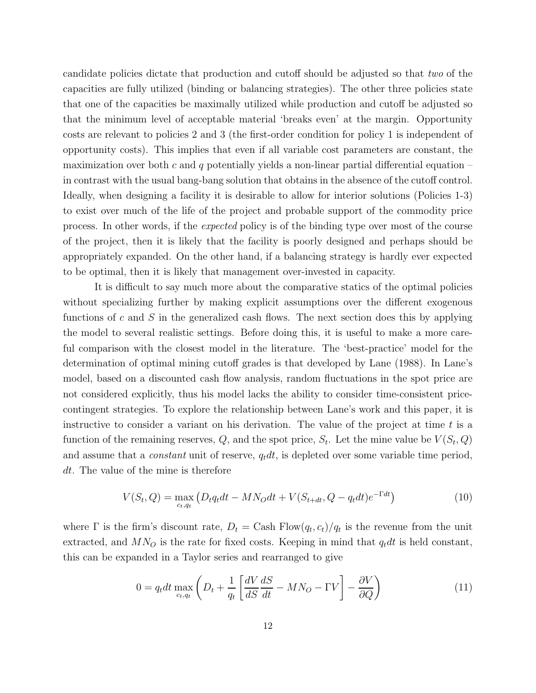candidate policies dictate that production and cutoff should be adjusted so that two of the capacities are fully utilized (binding or balancing strategies). The other three policies state that one of the capacities be maximally utilized while production and cutoff be adjusted so that the minimum level of acceptable material 'breaks even' at the margin. Opportunity costs are relevant to policies 2 and 3 (the first-order condition for policy 1 is independent of opportunity costs). This implies that even if all variable cost parameters are constant, the maximization over both c and q potentially yields a non-linear partial differential equation – in contrast with the usual bang-bang solution that obtains in the absence of the cutoff control. Ideally, when designing a facility it is desirable to allow for interior solutions (Policies 1-3) to exist over much of the life of the project and probable support of the commodity price process. In other words, if the expected policy is of the binding type over most of the course of the project, then it is likely that the facility is poorly designed and perhaps should be appropriately expanded. On the other hand, if a balancing strategy is hardly ever expected to be optimal, then it is likely that management over-invested in capacity.

It is difficult to say much more about the comparative statics of the optimal policies without specializing further by making explicit assumptions over the different exogenous functions of c and S in the generalized cash flows. The next section does this by applying the model to several realistic settings. Before doing this, it is useful to make a more careful comparison with the closest model in the literature. The 'best-practice' model for the determination of optimal mining cutoff grades is that developed by Lane (1988). In Lane's model, based on a discounted cash flow analysis, random fluctuations in the spot price are not considered explicitly, thus his model lacks the ability to consider time-consistent pricecontingent strategies. To explore the relationship between Lane's work and this paper, it is instructive to consider a variant on his derivation. The value of the project at time  $t$  is a function of the remaining reserves,  $Q$ , and the spot price,  $S_t$ . Let the mine value be  $V(S_t, Q)$ and assume that a *constant* unit of reserve,  $q_t dt$ , is depleted over some variable time period, dt. The value of the mine is therefore

$$
V(S_t, Q) = \max_{c_t, q_t} (D_t q_t dt - M N_O dt + V(S_{t+dt}, Q - q_t dt) e^{-\Gamma dt})
$$
\n(10)

where  $\Gamma$  is the firm's discount rate,  $D_t = \text{Cash Flow}(q_t, c_t)/q_t$  is the revenue from the unit extracted, and  $MN<sub>O</sub>$  is the rate for fixed costs. Keeping in mind that  $q_t dt$  is held constant, this can be expanded in a Taylor series and rearranged to give

$$
0 = q_t dt \max_{ct, qt} \left( D_t + \frac{1}{q_t} \left[ \frac{dV}{dS} \frac{dS}{dt} - MN_O - \Gamma V \right] - \frac{\partial V}{\partial Q} \right)
$$
(11)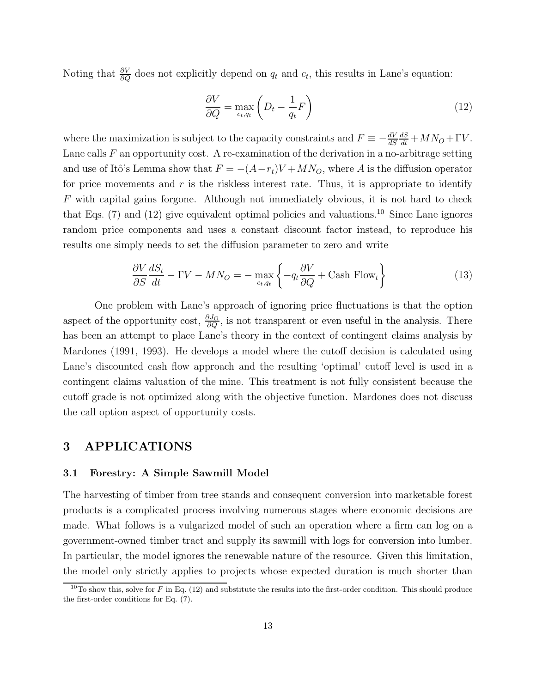Noting that  $\frac{\partial V}{\partial Q}$  does not explicitly depend on  $q_t$  and  $c_t$ , this results in Lane's equation:

$$
\frac{\partial V}{\partial Q} = \max_{c_t, q_t} \left( D_t - \frac{1}{q_t} F \right) \tag{12}
$$

where the maximization is subject to the capacity constraints and  $F \equiv -\frac{dV}{ds}$  $\frac{dS}{dt} + MN_O + \Gamma V.$ Lane calls  $F$  an opportunity cost. A re-examination of the derivation in a no-arbitrage setting and use of Itô's Lemma show that  $F = -(A-r_t)V + MN_O$ , where A is the diffusion operator for price movements and  $r$  is the riskless interest rate. Thus, it is appropriate to identify F with capital gains forgone. Although not immediately obvious, it is not hard to check that Eqs.  $(7)$  and  $(12)$  give equivalent optimal policies and valuations.<sup>10</sup> Since Lane ignores random price components and uses a constant discount factor instead, to reproduce his results one simply needs to set the diffusion parameter to zero and write

$$
\frac{\partial V}{\partial S} \frac{dS_t}{dt} - \Gamma V - M N_O = - \max_{c_t, q_t} \left\{ -q_t \frac{\partial V}{\partial Q} + \text{Cash Flow}_t \right\} \tag{13}
$$

One problem with Lane's approach of ignoring price fluctuations is that the option aspect of the opportunity cost,  $\frac{\partial J_O}{\partial Q}$ , is not transparent or even useful in the analysis. There has been an attempt to place Lane's theory in the context of contingent claims analysis by Mardones (1991, 1993). He develops a model where the cutoff decision is calculated using Lane's discounted cash flow approach and the resulting 'optimal' cutoff level is used in a contingent claims valuation of the mine. This treatment is not fully consistent because the cutoff grade is not optimized along with the objective function. Mardones does not discuss the call option aspect of opportunity costs.

### **3 APPLICATIONS**

#### **3.1 Forestry: A Simple Sawmill Model**

The harvesting of timber from tree stands and consequent conversion into marketable forest products is a complicated process involving numerous stages where economic decisions are made. What follows is a vulgarized model of such an operation where a firm can log on a government-owned timber tract and supply its sawmill with logs for conversion into lumber. In particular, the model ignores the renewable nature of the resource. Given this limitation, the model only strictly applies to projects whose expected duration is much shorter than

<sup>&</sup>lt;sup>10</sup>To show this, solve for F in Eq. (12) and substitute the results into the first-order condition. This should produce the first-order conditions for Eq. (7).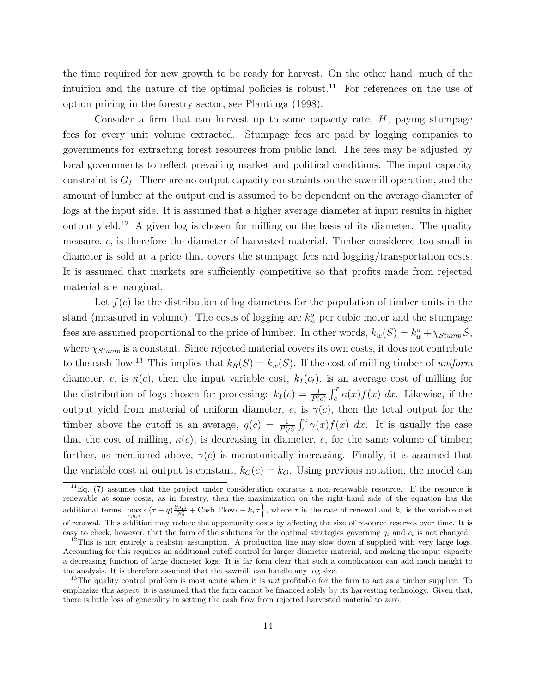the time required for new growth to be ready for harvest. On the other hand, much of the intuition and the nature of the optimal policies is robust.<sup>11</sup> For references on the use of option pricing in the forestry sector, see Plantinga (1998).

Consider a firm that can harvest up to some capacity rate,  $H$ , paying stumpage fees for every unit volume extracted. Stumpage fees are paid by logging companies to governments for extracting forest resources from public land. The fees may be adjusted by local governments to reflect prevailing market and political conditions. The input capacity constraint is  $G<sub>I</sub>$ . There are no output capacity constraints on the sawmill operation, and the amount of lumber at the output end is assumed to be dependent on the average diameter of logs at the input side. It is assumed that a higher average diameter at input results in higher output yield.<sup>12</sup> A given log is chosen for milling on the basis of its diameter. The quality measure, c, is therefore the diameter of harvested material. Timber considered too small in diameter is sold at a price that covers the stumpage fees and logging/transportation costs. It is assumed that markets are sufficiently competitive so that profits made from rejected material are marginal.

Let  $f(c)$  be the distribution of log diameters for the population of timber units in the stand (measured in volume). The costs of logging are  $k_w^o$  per cubic meter and the stumpage fees are assumed proportional to the price of lumber. In other words,  $k_w(S) = k_w^o + \chi_{Stump} S$ , where  $\chi_{Stump}$  is a constant. Since rejected material covers its own costs, it does not contribute to the cash flow.<sup>13</sup> This implies that  $k_R(S) = k_w(S)$ . If the cost of milling timber of uniform diameter, c, is  $\kappa(c)$ , then the input variable cost,  $k_I(c_t)$ , is an average cost of milling for the distribution of logs chosen for processing:  $k_I(c) = \frac{1}{P(c)} \int_c^{\bar{c}} \kappa(x) f(x) dx$ . Likewise, if the output yield from material of uniform diameter, c, is  $\gamma(c)$ , then the total output for the timber above the cutoff is an average,  $g(c) = \frac{1}{P(c)} \int_c^{\bar{c}} \gamma(x) f(x) dx$ . It is usually the case that the cost of milling,  $\kappa(c)$ , is decreasing in diameter, c, for the same volume of timber; further, as mentioned above,  $\gamma(c)$  is monotonically increasing. Finally, it is assumed that the variable cost at output is constant,  $k_O(c) = k_O$ . Using previous notation, the model can

 $11Eq.$  (7) assumes that the project under consideration extracts a non-renewable resource. If the resource is renewable at some costs, as in forestry, then the maximization on the right-hand side of the equation has the additional terms:  $\max_{c,q,\tau} \left\{ (\tau - q) \frac{\partial J_O}{\partial Q} + \text{Cash Flow}_t - k_\tau \tau \right\}$ , where  $\tau$  is the rate of renewal and  $k_\tau$  is the variable cost of renewal. This addition may reduce the opportunity costs by affecting the size of resource reserves over time. It is easy to check, however, that the form of the solutions for the optimal strategies governing  $q_t$  and  $c_t$  is not changed.

 $12$ This is not entirely a realistic assumption. A production line may slow down if supplied with very large logs. Accounting for this requires an additional cutoff control for larger diameter material, and making the input capacity a decreasing function of large diameter logs. It is far form clear that such a complication can add much insight to the analysis. It is therefore assumed that the sawmill can handle any log size.

<sup>13</sup>The quality control problem is most acute when it is *not* profitable for the firm to act as a timber supplier. To emphasize this aspect, it is assumed that the firm cannot be financed solely by its harvesting technology. Given that, there is little loss of generality in setting the cash flow from rejected harvested material to zero.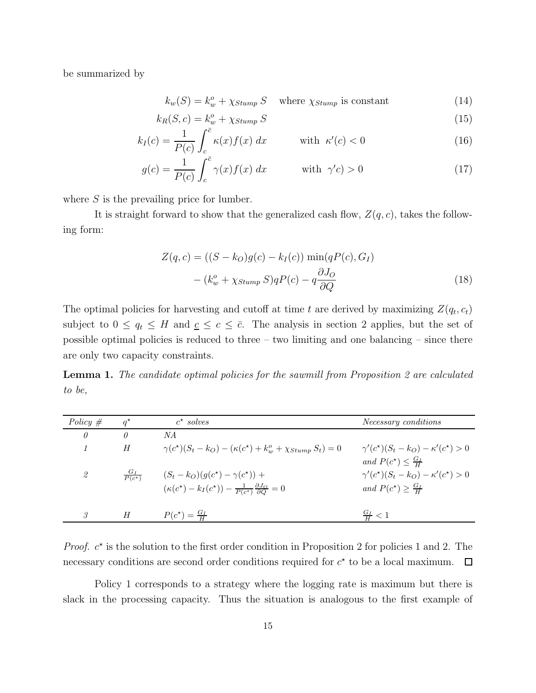be summarized by

$$
k_w(S) = k_w^o + \chi_{Stump} S \quad \text{where } \chi_{Stump} \text{ is constant} \tag{14}
$$

$$
k_R(S, c) = k_w^o + \chi_{Stump} S \tag{15}
$$

$$
k_I(c) = \frac{1}{P(c)} \int_c^{\bar{c}} \kappa(x) f(x) dx \quad \text{with } \kappa'(c) < 0 \tag{16}
$$

$$
g(c) = \frac{1}{P(c)} \int_{c}^{\bar{c}} \gamma(x) f(x) dx \qquad \text{with } \gamma'c) > 0
$$
 (17)

where  $S$  is the prevailing price for lumber.

It is straight forward to show that the generalized cash flow,  $Z(q, c)$ , takes the following form:

$$
Z(q, c) = ((S - kO)g(c) - kI(c)) \min(qP(c), GI)
$$

$$
- (kwo + \chi_{Stump} S)qP(c) - q\frac{\partial JO}{\partial Q}
$$
(18)

The optimal policies for harvesting and cutoff at time t are derived by maximizing  $Z(q_t, c_t)$ subject to  $0 \le q_t \le H$  and  $c \le c \le \overline{c}$ . The analysis in section 2 applies, but the set of possible optimal policies is reduced to three – two limiting and one balancing – since there are only two capacity constraints.

**Lemma 1.** The candidate optimal policies for the sawmill from Proposition 2 are calculated to be,

| Policy $#$ |                      | $c^*$ solves                                                                                                               | Necessary conditions                                                                                                     |
|------------|----------------------|----------------------------------------------------------------------------------------------------------------------------|--------------------------------------------------------------------------------------------------------------------------|
| $\theta$   | 0                    | NA                                                                                                                         |                                                                                                                          |
|            | H                    | $\gamma(c^*)(S_t - k_O) - (\kappa(c^*) + k_w^o + \chi_{Stump} S_t) = 0$                                                    | $\gamma'(c^{\star})(S_t-k_O)-\kappa'(c^{\star})>0$                                                                       |
| 2          | $\frac{G_I}{P(c^*)}$ | $(S_t - k_O)(q(c^*) - \gamma(c^*))$ +<br>$(\kappa(c^*) - k_I(c^*)) - \frac{1}{P(c^*)} \frac{\partial J_O}{\partial Q} = 0$ | and $P(c^*) \leq \frac{G_I}{H}$<br>$\gamma'(c^{\star})(S_t-k_O)-\kappa'(c^{\star})>0$<br>and $P(c^*) \geq \frac{G_I}{H}$ |
| 3.         | H                    | $P(c^*) = \frac{G_I}{H}$                                                                                                   | $\frac{G_I}{H} < 1$                                                                                                      |

*Proof.*  $c^*$  is the solution to the first order condition in Proposition 2 for policies 1 and 2. The necessary conditions are second order conditions required for  $c^*$  to be a local maximum.  $\Box$ 

Policy 1 corresponds to a strategy where the logging rate is maximum but there is slack in the processing capacity. Thus the situation is analogous to the first example of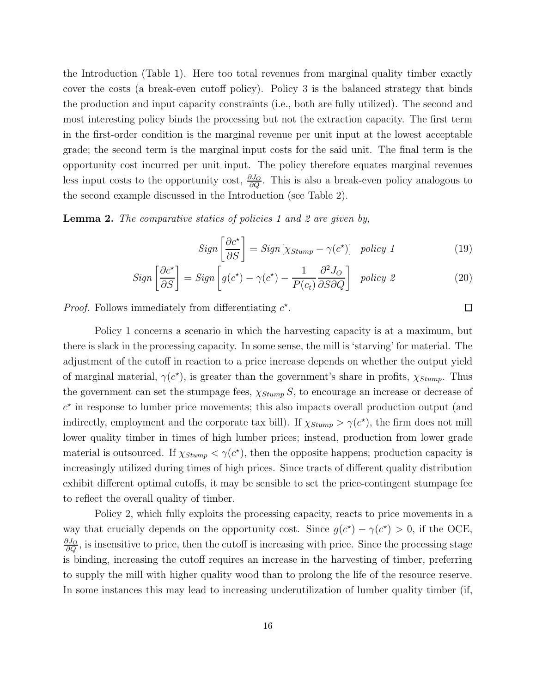the Introduction (Table 1). Here too total revenues from marginal quality timber exactly cover the costs (a break-even cutoff policy). Policy 3 is the balanced strategy that binds the production and input capacity constraints (i.e., both are fully utilized). The second and most interesting policy binds the processing but not the extraction capacity. The first term in the first-order condition is the marginal revenue per unit input at the lowest acceptable grade; the second term is the marginal input costs for the said unit. The final term is the opportunity cost incurred per unit input. The policy therefore equates marginal revenues less input costs to the opportunity cost,  $\frac{\partial J_Q}{\partial Q}$ . This is also a break-even policy analogous to the second example discussed in the Introduction (see Table 2).

**Lemma 2.** The comparative statics of policies 1 and 2 are given by,

$$
Sign\left[\frac{\partial c^*}{\partial S}\right] = Sign\left[\chi_{Stump} - \gamma(c^*)\right] \quad policy \quad 1 \tag{19}
$$

$$
Sign\left[\frac{\partial c^*}{\partial S}\right] = Sign\left[g(c^*) - \gamma(c^*) - \frac{1}{P(c_t)}\frac{\partial^2 J_O}{\partial S \partial Q}\right] \quad policy \quad 2 \tag{20}
$$

*Proof.* Follows immediately from differentiating  $c^*$ .

Policy 1 concerns a scenario in which the harvesting capacity is at a maximum, but there is slack in the processing capacity. In some sense, the mill is 'starving' for material. The adjustment of the cutoff in reaction to a price increase depends on whether the output yield of marginal material,  $\gamma(c^*)$ , is greater than the government's share in profits,  $\chi_{Stump}$ . Thus the government can set the stumpage fees,  $\chi_{Stump} S$ , to encourage an increase or decrease of  $c<sup>*</sup>$  in response to lumber price movements; this also impacts overall production output (and indirectly, employment and the corporate tax bill). If  $\chi_{Stump} > \gamma(c^*)$ , the firm does not mill lower quality timber in times of high lumber prices; instead, production from lower grade material is outsourced. If  $\chi_{Stump} < \gamma(c^*)$ , then the opposite happens; production capacity is increasingly utilized during times of high prices. Since tracts of different quality distribution exhibit different optimal cutoffs, it may be sensible to set the price-contingent stumpage fee to reflect the overall quality of timber.

Policy 2, which fully exploits the processing capacity, reacts to price movements in a way that crucially depends on the opportunity cost. Since  $g(c^*) - \gamma(c^*) > 0$ , if the OCE,  $\frac{\partial J_O}{\partial Q}$ , is insensitive to price, then the cutoff is increasing with price. Since the processing stage is binding, increasing the cutoff requires an increase in the harvesting of timber, preferring to supply the mill with higher quality wood than to prolong the life of the resource reserve. In some instances this may lead to increasing underutilization of lumber quality timber (if,

 $\Box$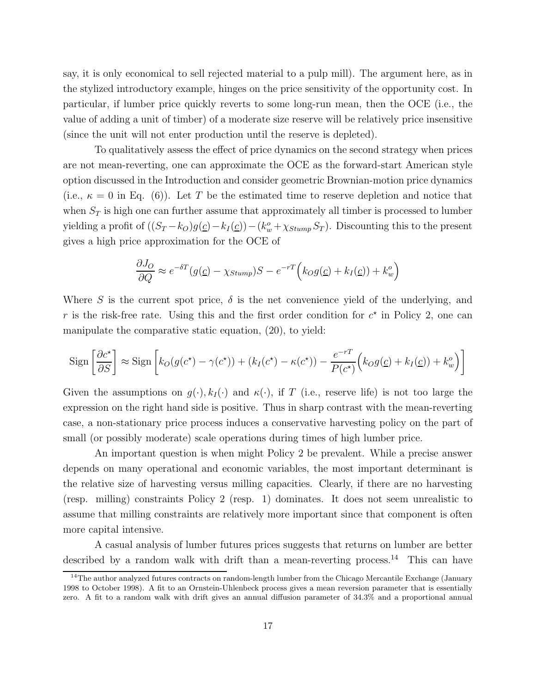say, it is only economical to sell rejected material to a pulp mill). The argument here, as in the stylized introductory example, hinges on the price sensitivity of the opportunity cost. In particular, if lumber price quickly reverts to some long-run mean, then the OCE (i.e., the value of adding a unit of timber) of a moderate size reserve will be relatively price insensitive (since the unit will not enter production until the reserve is depleted).

To qualitatively assess the effect of price dynamics on the second strategy when prices are not mean-reverting, one can approximate the OCE as the forward-start American style option discussed in the Introduction and consider geometric Brownian-motion price dynamics (i.e.,  $\kappa = 0$  in Eq. (6)). Let T be the estimated time to reserve depletion and notice that when  $S_T$  is high one can further assume that approximately all timber is processed to lumber yielding a profit of  $((S_T - k_O)g(\underline{c}) - k_I(\underline{c})) - (k_w^o + \chi_{Stump} S_T)$ . Discounting this to the present gives a high price approximation for the OCE of

$$
\frac{\partial J_O}{\partial Q} \approx e^{-\delta T} (g(\underline{c}) - \chi_{Stump}) S - e^{-rT} (k_O g(\underline{c}) + k_I(\underline{c})) + k_w^o
$$

Where S is the current spot price,  $\delta$  is the net convenience yield of the underlying, and r is the risk-free rate. Using this and the first order condition for  $c^*$  in Policy 2, one can manipulate the comparative static equation, (20), to yield:

$$
\operatorname{Sign}\left[\frac{\partial c^*}{\partial S}\right] \approx \operatorname{Sign}\left[k_O(g(c^*) - \gamma(c^*)) + (k_I(c^*) - \kappa(c^*)) - \frac{e^{-rT}}{P(c^*)}\left(k_Og(\underline{c}) + k_I(\underline{c}) + k_w^o\right)\right]
$$

Given the assumptions on  $g(\cdot), k_I(\cdot)$  and  $\kappa(\cdot)$ , if T (i.e., reserve life) is not too large the expression on the right hand side is positive. Thus in sharp contrast with the mean-reverting case, a non-stationary price process induces a conservative harvesting policy on the part of small (or possibly moderate) scale operations during times of high lumber price.

An important question is when might Policy 2 be prevalent. While a precise answer depends on many operational and economic variables, the most important determinant is the relative size of harvesting versus milling capacities. Clearly, if there are no harvesting (resp. milling) constraints Policy 2 (resp. 1) dominates. It does not seem unrealistic to assume that milling constraints are relatively more important since that component is often more capital intensive.

A casual analysis of lumber futures prices suggests that returns on lumber are better described by a random walk with drift than a mean-reverting process.<sup>14</sup> This can have

 $14$ The author analyzed futures contracts on random-length lumber from the Chicago Mercantile Exchange (January 1998 to October 1998). A fit to an Ornstein-Uhlenbeck process gives a mean reversion parameter that is essentially zero. A fit to a random walk with drift gives an annual diffusion parameter of 34.3% and a proportional annual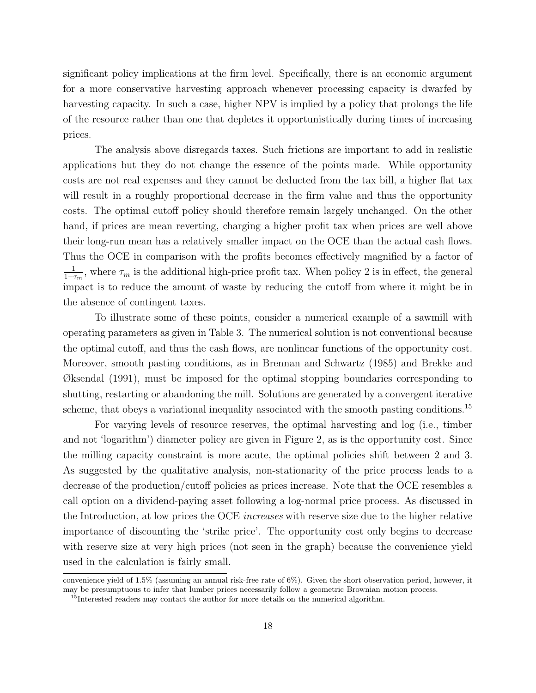significant policy implications at the firm level. Specifically, there is an economic argument for a more conservative harvesting approach whenever processing capacity is dwarfed by harvesting capacity. In such a case, higher NPV is implied by a policy that prolongs the life of the resource rather than one that depletes it opportunistically during times of increasing prices.

The analysis above disregards taxes. Such frictions are important to add in realistic applications but they do not change the essence of the points made. While opportunity costs are not real expenses and they cannot be deducted from the tax bill, a higher flat tax will result in a roughly proportional decrease in the firm value and thus the opportunity costs. The optimal cutoff policy should therefore remain largely unchanged. On the other hand, if prices are mean reverting, charging a higher profit tax when prices are well above their long-run mean has a relatively smaller impact on the OCE than the actual cash flows. Thus the OCE in comparison with the profits becomes effectively magnified by a factor of  $\frac{1}{1-\tau_m}$ , where  $\tau_m$  is the additional high-price profit tax. When policy 2 is in effect, the general impact is to reduce the amount of waste by reducing the cutoff from where it might be in the absence of contingent taxes.

To illustrate some of these points, consider a numerical example of a sawmill with operating parameters as given in Table 3. The numerical solution is not conventional because the optimal cutoff, and thus the cash flows, are nonlinear functions of the opportunity cost. Moreover, smooth pasting conditions, as in Brennan and Schwartz (1985) and Brekke and Øksendal (1991), must be imposed for the optimal stopping boundaries corresponding to shutting, restarting or abandoning the mill. Solutions are generated by a convergent iterative scheme, that obeys a variational inequality associated with the smooth pasting conditions.<sup>15</sup>

For varying levels of resource reserves, the optimal harvesting and log (i.e., timber and not 'logarithm') diameter policy are given in Figure 2, as is the opportunity cost. Since the milling capacity constraint is more acute, the optimal policies shift between 2 and 3. As suggested by the qualitative analysis, non-stationarity of the price process leads to a decrease of the production/cutoff policies as prices increase. Note that the OCE resembles a call option on a dividend-paying asset following a log-normal price process. As discussed in the Introduction, at low prices the OCE increases with reserve size due to the higher relative importance of discounting the 'strike price'. The opportunity cost only begins to decrease with reserve size at very high prices (not seen in the graph) because the convenience yield used in the calculation is fairly small.

convenience yield of 1.5% (assuming an annual risk-free rate of 6%). Given the short observation period, however, it may be presumptuous to infer that lumber prices necessarily follow a geometric Brownian motion process.

<sup>&</sup>lt;sup>15</sup>Interested readers may contact the author for more details on the numerical algorithm.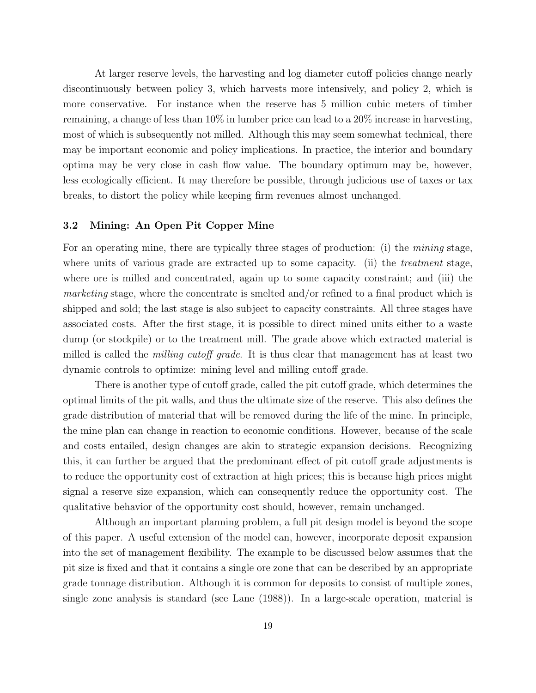At larger reserve levels, the harvesting and log diameter cutoff policies change nearly discontinuously between policy 3, which harvests more intensively, and policy 2, which is more conservative. For instance when the reserve has 5 million cubic meters of timber remaining, a change of less than 10% in lumber price can lead to a 20% increase in harvesting, most of which is subsequently not milled. Although this may seem somewhat technical, there may be important economic and policy implications. In practice, the interior and boundary optima may be very close in cash flow value. The boundary optimum may be, however, less ecologically efficient. It may therefore be possible, through judicious use of taxes or tax breaks, to distort the policy while keeping firm revenues almost unchanged.

#### **3.2 Mining: An Open Pit Copper Mine**

For an operating mine, there are typically three stages of production: (i) the *mining* stage, where units of various grade are extracted up to some capacity. (ii) the *treatment* stage, where ore is milled and concentrated, again up to some capacity constraint; and (iii) the marketing stage, where the concentrate is smelted and/or refined to a final product which is shipped and sold; the last stage is also subject to capacity constraints. All three stages have associated costs. After the first stage, it is possible to direct mined units either to a waste dump (or stockpile) or to the treatment mill. The grade above which extracted material is milled is called the *milling cutoff grade*. It is thus clear that management has at least two dynamic controls to optimize: mining level and milling cutoff grade.

There is another type of cutoff grade, called the pit cutoff grade, which determines the optimal limits of the pit walls, and thus the ultimate size of the reserve. This also defines the grade distribution of material that will be removed during the life of the mine. In principle, the mine plan can change in reaction to economic conditions. However, because of the scale and costs entailed, design changes are akin to strategic expansion decisions. Recognizing this, it can further be argued that the predominant effect of pit cutoff grade adjustments is to reduce the opportunity cost of extraction at high prices; this is because high prices might signal a reserve size expansion, which can consequently reduce the opportunity cost. The qualitative behavior of the opportunity cost should, however, remain unchanged.

Although an important planning problem, a full pit design model is beyond the scope of this paper. A useful extension of the model can, however, incorporate deposit expansion into the set of management flexibility. The example to be discussed below assumes that the pit size is fixed and that it contains a single ore zone that can be described by an appropriate grade tonnage distribution. Although it is common for deposits to consist of multiple zones, single zone analysis is standard (see Lane (1988)). In a large-scale operation, material is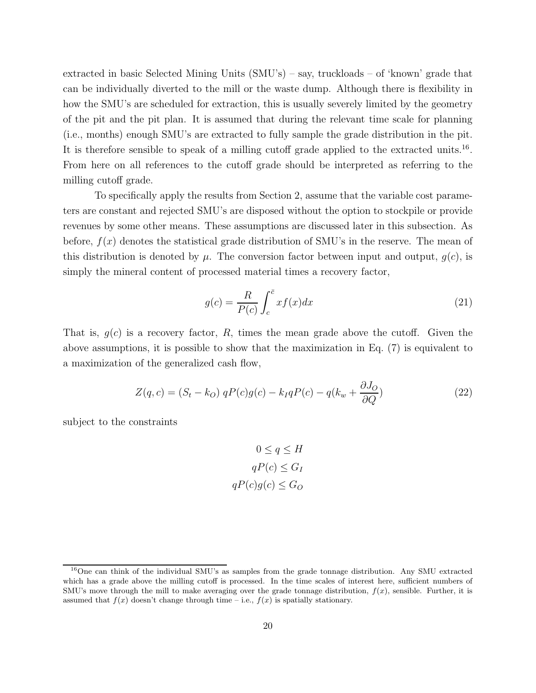extracted in basic Selected Mining Units (SMU's) – say, truckloads – of 'known' grade that can be individually diverted to the mill or the waste dump. Although there is flexibility in how the SMU's are scheduled for extraction, this is usually severely limited by the geometry of the pit and the pit plan. It is assumed that during the relevant time scale for planning (i.e., months) enough SMU's are extracted to fully sample the grade distribution in the pit. It is therefore sensible to speak of a milling cutoff grade applied to the extracted units.<sup>16</sup>. From here on all references to the cutoff grade should be interpreted as referring to the milling cutoff grade.

To specifically apply the results from Section 2, assume that the variable cost parameters are constant and rejected SMU's are disposed without the option to stockpile or provide revenues by some other means. These assumptions are discussed later in this subsection. As before,  $f(x)$  denotes the statistical grade distribution of SMU's in the reserve. The mean of this distribution is denoted by  $\mu$ . The conversion factor between input and output,  $g(c)$ , is simply the mineral content of processed material times a recovery factor,

$$
g(c) = \frac{R}{P(c)} \int_{c}^{\bar{c}} x f(x) dx
$$
\n(21)

That is,  $g(c)$  is a recovery factor, R, times the mean grade above the cutoff. Given the above assumptions, it is possible to show that the maximization in Eq. (7) is equivalent to a maximization of the generalized cash flow,

$$
Z(q,c) = (S_t - k_O) qP(c)g(c) - k_I qP(c) - q(k_w + \frac{\partial J_O}{\partial Q})
$$
\n(22)

subject to the constraints

$$
0 \le q \le H
$$

$$
qP(c) \le G_I
$$

$$
qP(c)g(c) \le G_O
$$

 $16$ One can think of the individual SMU's as samples from the grade tonnage distribution. Any SMU extracted which has a grade above the milling cutoff is processed. In the time scales of interest here, sufficient numbers of SMU's move through the mill to make averaging over the grade tonnage distribution,  $f(x)$ , sensible. Further, it is assumed that  $f(x)$  doesn't change through time – i.e.,  $f(x)$  is spatially stationary.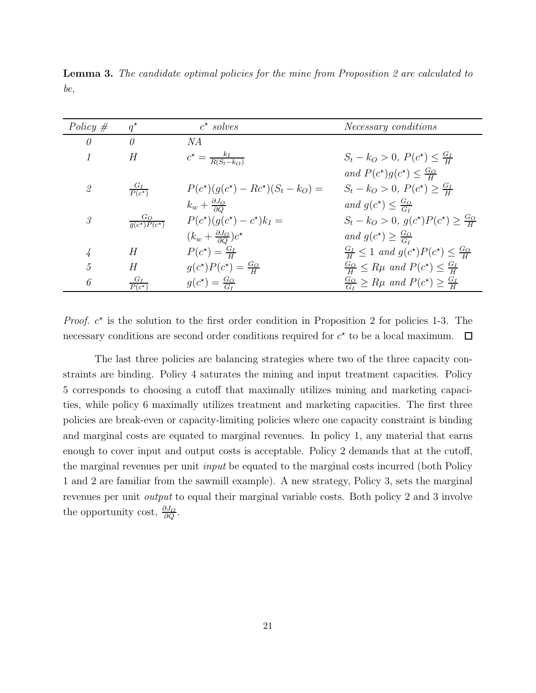| Policy $#$    | $q^{\star}$                                  | $c^*$ solves                                           | Necessary conditions                                         |
|---------------|----------------------------------------------|--------------------------------------------------------|--------------------------------------------------------------|
| $\theta$      | $\theta$                                     | NА                                                     |                                                              |
| $\mathcal I$  | Н                                            | $c^{\star} = \frac{k_I}{R(S_t - k_O)}$                 | $S_t - k_O > 0, P(c^*) \leq \frac{G_I}{H}$                   |
|               |                                              |                                                        | and $P(c^*)g(c^*) \leq \frac{G_O}{H}$                        |
| $\mathscr{Q}$ | $\frac{G_I}{P(c^{\star})}$                   | $P(c^{\star})(q(c^{\star}) - Rc^{\star})(S_t - k_O) =$ | $S_t - k_O > 0, P(c^*) \geq \frac{G_I}{H}$                   |
|               |                                              | $k_w + \frac{\partial J_O}{\partial O}$                | and $g(c^*) \leq \frac{G_O}{G}$                              |
| $\mathcal{S}$ | $\frac{G_O}{\bar{q}(c^{\star})P(c^{\star})}$ | $P(c^{\star})(g(c^{\star})-c^{\star})k_I =$            | $S_t - k_O > 0, g(c^*)P(c^*) \geq \frac{G_O}{H}$             |
|               |                                              | $(k_w + \frac{\partial J_O}{\partial Q})c^*$           | and $g(c^*) \geq \frac{G_O}{C}$                              |
| 4             | Н                                            | $P(c^*) = \frac{G_I}{H}$                               | $\frac{G_I}{H} \leq 1$ and $g(c^*)P(c^*) \leq \frac{G_O}{H}$ |
| 5             | Н                                            | $g(c^{\star})P(c^{\star})=\frac{G_O}{H}$               | $\frac{G_O}{H} \le R\mu$ and $P(c^*) \le \frac{G_I}{H}$      |
| 6             | $\frac{G_I}{P(c^{\star})}$                   | $g(c^*) = \frac{G_O}{G}$                               | $\frac{G_O}{G_I} \ge R\mu$ and $P(c^*) \ge \frac{G_I}{H}$    |

**Lemma 3.** The candidate optimal policies for the mine from Proposition 2 are calculated to be,

*Proof.*  $c^*$  is the solution to the first order condition in Proposition 2 for policies 1-3. The necessary conditions are second order conditions required for  $c^*$  to be a local maximum.  $\Box$ 

The last three policies are balancing strategies where two of the three capacity constraints are binding. Policy 4 saturates the mining and input treatment capacities. Policy 5 corresponds to choosing a cutoff that maximally utilizes mining and marketing capacities, while policy 6 maximally utilizes treatment and marketing capacities. The first three policies are break-even or capacity-limiting policies where one capacity constraint is binding and marginal costs are equated to marginal revenues. In policy 1, any material that earns enough to cover input and output costs is acceptable. Policy 2 demands that at the cutoff, the marginal revenues per unit input be equated to the marginal costs incurred (both Policy 1 and 2 are familiar from the sawmill example). A new strategy, Policy 3, sets the marginal revenues per unit output to equal their marginal variable costs. Both policy 2 and 3 involve the opportunity cost,  $\frac{\partial J_O}{\partial Q}$ .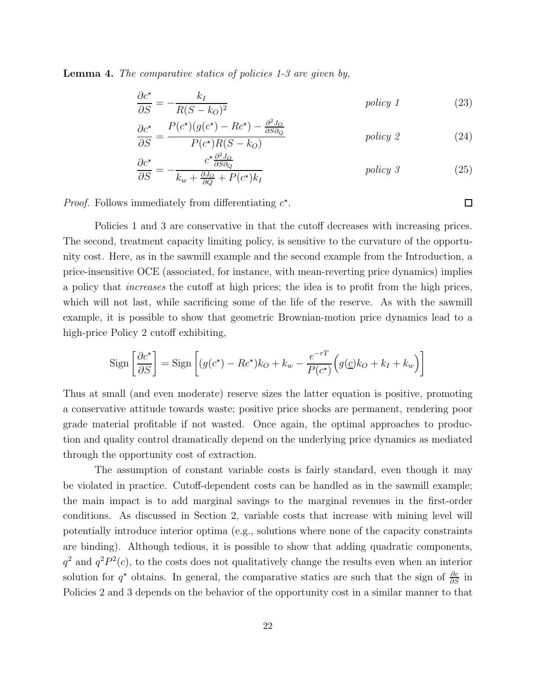**Lemma 4.** The comparative statics of policies 1-3 are given by,

$$
\frac{\partial c^*}{\partial S} = -\frac{k_I}{R(S - k_O)^2} \tag{23}
$$

$$
\frac{\partial c^*}{\partial S} = \frac{P(c^*)(g(c^*) - Rc^*) - \frac{\partial^2 J_o}{\partial S \partial_Q}}{P(c^*)R(S - k_O)}
$$
 policy 2 (24)

$$
\frac{\partial c^*}{\partial S} = -\frac{c^* \frac{\partial^2 J_O}{\partial S \partial_Q}}{k_w + \frac{\partial J_O}{\partial Q} + P(c^*) k_I} \qquad \text{policy } 3 \tag{25}
$$

*Proof.* Follows immediately from differentiating  $c^*$ .

Policies 1 and 3 are conservative in that the cutoff decreases with increasing prices. The second, treatment capacity limiting policy, is sensitive to the curvature of the opportunity cost. Here, as in the sawmill example and the second example from the Introduction, a price-insensitive OCE (associated, for instance, with mean-reverting price dynamics) implies a policy that increases the cutoff at high prices; the idea is to profit from the high prices, which will not last, while sacrificing some of the life of the reserve. As with the sawmill example, it is possible to show that geometric Brownian-motion price dynamics lead to a high-price Policy 2 cutoff exhibiting,

$$
\operatorname{Sign}\left[\frac{\partial c^*}{\partial S}\right] = \operatorname{Sign}\left[ (g(c^*) - R c^*) k_O + k_w - \frac{e^{-rT}}{P(c^*)} \left( g(\underline{c}) k_O + k_I + k_w \right) \right]
$$

Thus at small (and even moderate) reserve sizes the latter equation is positive, promoting a conservative attitude towards waste; positive price shocks are permanent, rendering poor grade material profitable if not wasted. Once again, the optimal approaches to production and quality control dramatically depend on the underlying price dynamics as mediated through the opportunity cost of extraction.

The assumption of constant variable costs is fairly standard, even though it may be violated in practice. Cutoff-dependent costs can be handled as in the sawmill example; the main impact is to add marginal savings to the marginal revenues in the first-order conditions. As discussed in Section 2, variable costs that increase with mining level will potentially introduce interior optima (e.g., solutions where none of the capacity constraints are binding). Although tedious, it is possible to show that adding quadratic components,  $q^2$  and  $q^2P^2(c)$ , to the costs does not qualitatively change the results even when an interior solution for  $q^*$  obtains. In general, the comparative statics are such that the sign of  $\frac{\partial c}{\partial S}$  in Policies 2 and 3 depends on the behavior of the opportunity cost in a similar manner to that

 $\Box$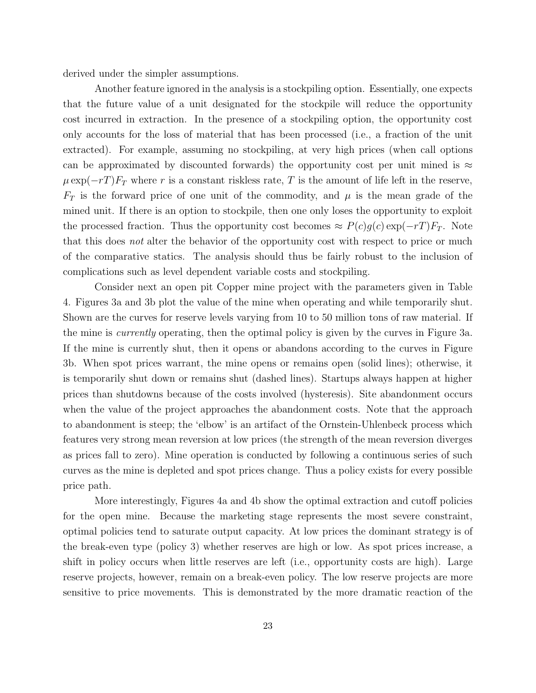derived under the simpler assumptions.

Another feature ignored in the analysis is a stockpiling option. Essentially, one expects that the future value of a unit designated for the stockpile will reduce the opportunity cost incurred in extraction. In the presence of a stockpiling option, the opportunity cost only accounts for the loss of material that has been processed (i.e., a fraction of the unit extracted). For example, assuming no stockpiling, at very high prices (when call options can be approximated by discounted forwards) the opportunity cost per unit mined is  $\approx$  $\mu \exp(-rT)F_T$  where r is a constant riskless rate, T is the amount of life left in the reserve,  $F_T$  is the forward price of one unit of the commodity, and  $\mu$  is the mean grade of the mined unit. If there is an option to stockpile, then one only loses the opportunity to exploit the processed fraction. Thus the opportunity cost becomes  $\approx P(c)g(c) \exp(-rT)F_T$ . Note that this does not alter the behavior of the opportunity cost with respect to price or much of the comparative statics. The analysis should thus be fairly robust to the inclusion of complications such as level dependent variable costs and stockpiling.

Consider next an open pit Copper mine project with the parameters given in Table 4. Figures 3a and 3b plot the value of the mine when operating and while temporarily shut. Shown are the curves for reserve levels varying from 10 to 50 million tons of raw material. If the mine is *currently* operating, then the optimal policy is given by the curves in Figure 3a. If the mine is currently shut, then it opens or abandons according to the curves in Figure 3b. When spot prices warrant, the mine opens or remains open (solid lines); otherwise, it is temporarily shut down or remains shut (dashed lines). Startups always happen at higher prices than shutdowns because of the costs involved (hysteresis). Site abandonment occurs when the value of the project approaches the abandonment costs. Note that the approach to abandonment is steep; the 'elbow' is an artifact of the Ornstein-Uhlenbeck process which features very strong mean reversion at low prices (the strength of the mean reversion diverges as prices fall to zero). Mine operation is conducted by following a continuous series of such curves as the mine is depleted and spot prices change. Thus a policy exists for every possible price path.

More interestingly, Figures 4a and 4b show the optimal extraction and cutoff policies for the open mine. Because the marketing stage represents the most severe constraint, optimal policies tend to saturate output capacity. At low prices the dominant strategy is of the break-even type (policy 3) whether reserves are high or low. As spot prices increase, a shift in policy occurs when little reserves are left (i.e., opportunity costs are high). Large reserve projects, however, remain on a break-even policy. The low reserve projects are more sensitive to price movements. This is demonstrated by the more dramatic reaction of the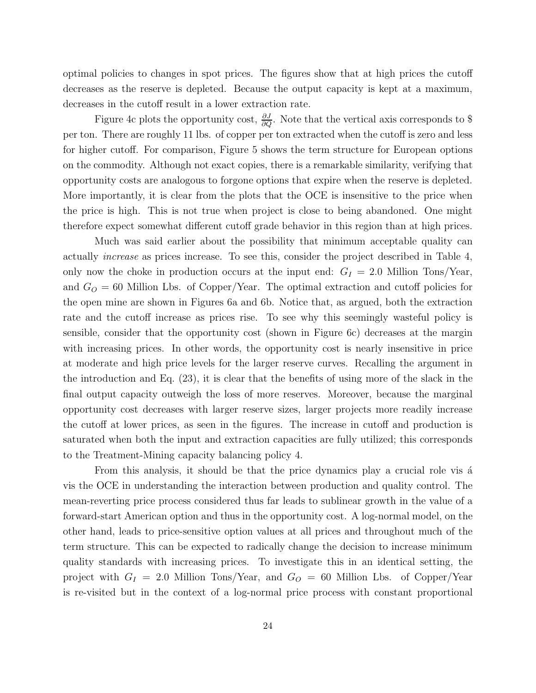optimal policies to changes in spot prices. The figures show that at high prices the cutoff decreases as the reserve is depleted. Because the output capacity is kept at a maximum, decreases in the cutoff result in a lower extraction rate.

Figure 4c plots the opportunity cost,  $\frac{\partial J}{\partial Q}$ . Note that the vertical axis corresponds to \$ per ton. There are roughly 11 lbs. of copper per ton extracted when the cutoff is zero and less for higher cutoff. For comparison, Figure 5 shows the term structure for European options on the commodity. Although not exact copies, there is a remarkable similarity, verifying that opportunity costs are analogous to forgone options that expire when the reserve is depleted. More importantly, it is clear from the plots that the OCE is insensitive to the price when the price is high. This is not true when project is close to being abandoned. One might therefore expect somewhat different cutoff grade behavior in this region than at high prices.

Much was said earlier about the possibility that minimum acceptable quality can actually increase as prices increase. To see this, consider the project described in Table 4, only now the choke in production occurs at the input end:  $G_I = 2.0$  Million Tons/Year, and  $G<sub>O</sub> = 60$  Million Lbs. of Copper/Year. The optimal extraction and cutoff policies for the open mine are shown in Figures 6a and 6b. Notice that, as argued, both the extraction rate and the cutoff increase as prices rise. To see why this seemingly wasteful policy is sensible, consider that the opportunity cost (shown in Figure 6c) decreases at the margin with increasing prices. In other words, the opportunity cost is nearly insensitive in price at moderate and high price levels for the larger reserve curves. Recalling the argument in the introduction and Eq. (23), it is clear that the benefits of using more of the slack in the final output capacity outweigh the loss of more reserves. Moreover, because the marginal opportunity cost decreases with larger reserve sizes, larger projects more readily increase the cutoff at lower prices, as seen in the figures. The increase in cutoff and production is saturated when both the input and extraction capacities are fully utilized; this corresponds to the Treatment-Mining capacity balancing policy 4.

From this analysis, it should be that the price dynamics play a crucial role vis a vis the OCE in understanding the interaction between production and quality control. The mean-reverting price process considered thus far leads to sublinear growth in the value of a forward-start American option and thus in the opportunity cost. A log-normal model, on the other hand, leads to price-sensitive option values at all prices and throughout much of the term structure. This can be expected to radically change the decision to increase minimum quality standards with increasing prices. To investigate this in an identical setting, the project with  $G_I = 2.0$  Million Tons/Year, and  $G_O = 60$  Million Lbs. of Copper/Year is re-visited but in the context of a log-normal price process with constant proportional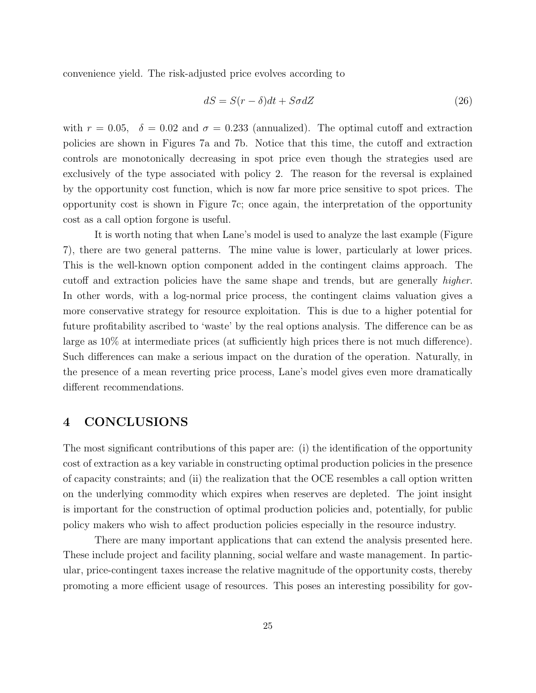convenience yield. The risk-adjusted price evolves according to

$$
dS = S(r - \delta)dt + S\sigma dZ \tag{26}
$$

with  $r = 0.05$ ,  $\delta = 0.02$  and  $\sigma = 0.233$  (annualized). The optimal cutoff and extraction policies are shown in Figures 7a and 7b. Notice that this time, the cutoff and extraction controls are monotonically decreasing in spot price even though the strategies used are exclusively of the type associated with policy 2. The reason for the reversal is explained by the opportunity cost function, which is now far more price sensitive to spot prices. The opportunity cost is shown in Figure 7c; once again, the interpretation of the opportunity cost as a call option forgone is useful.

It is worth noting that when Lane's model is used to analyze the last example (Figure 7), there are two general patterns. The mine value is lower, particularly at lower prices. This is the well-known option component added in the contingent claims approach. The cutoff and extraction policies have the same shape and trends, but are generally higher. In other words, with a log-normal price process, the contingent claims valuation gives a more conservative strategy for resource exploitation. This is due to a higher potential for future profitability ascribed to 'waste' by the real options analysis. The difference can be as large as 10% at intermediate prices (at sufficiently high prices there is not much difference). Such differences can make a serious impact on the duration of the operation. Naturally, in the presence of a mean reverting price process, Lane's model gives even more dramatically different recommendations.

## **4 CONCLUSIONS**

The most significant contributions of this paper are: (i) the identification of the opportunity cost of extraction as a key variable in constructing optimal production policies in the presence of capacity constraints; and (ii) the realization that the OCE resembles a call option written on the underlying commodity which expires when reserves are depleted. The joint insight is important for the construction of optimal production policies and, potentially, for public policy makers who wish to affect production policies especially in the resource industry.

There are many important applications that can extend the analysis presented here. These include project and facility planning, social welfare and waste management. In particular, price-contingent taxes increase the relative magnitude of the opportunity costs, thereby promoting a more efficient usage of resources. This poses an interesting possibility for gov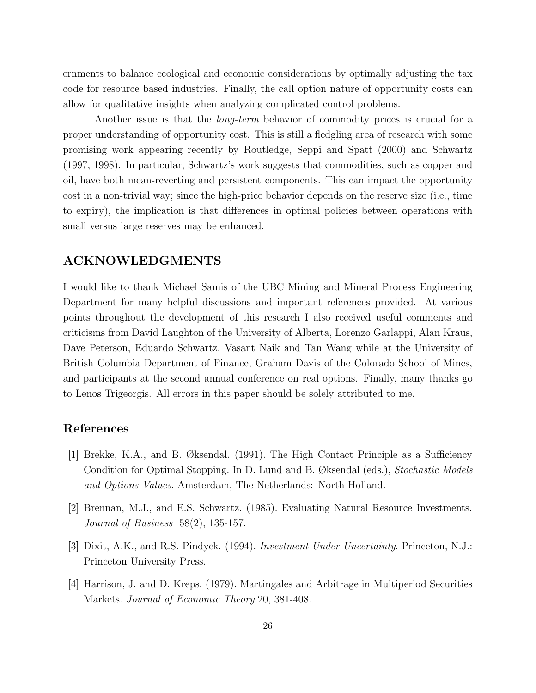ernments to balance ecological and economic considerations by optimally adjusting the tax code for resource based industries. Finally, the call option nature of opportunity costs can allow for qualitative insights when analyzing complicated control problems.

Another issue is that the *long-term* behavior of commodity prices is crucial for a proper understanding of opportunity cost. This is still a fledgling area of research with some promising work appearing recently by Routledge, Seppi and Spatt (2000) and Schwartz (1997, 1998). In particular, Schwartz's work suggests that commodities, such as copper and oil, have both mean-reverting and persistent components. This can impact the opportunity cost in a non-trivial way; since the high-price behavior depends on the reserve size (i.e., time to expiry), the implication is that differences in optimal policies between operations with small versus large reserves may be enhanced.

## **ACKNOWLEDGMENTS**

I would like to thank Michael Samis of the UBC Mining and Mineral Process Engineering Department for many helpful discussions and important references provided. At various points throughout the development of this research I also received useful comments and criticisms from David Laughton of the University of Alberta, Lorenzo Garlappi, Alan Kraus, Dave Peterson, Eduardo Schwartz, Vasant Naik and Tan Wang while at the University of British Columbia Department of Finance, Graham Davis of the Colorado School of Mines, and participants at the second annual conference on real options. Finally, many thanks go to Lenos Trigeorgis. All errors in this paper should be solely attributed to me.

## **References**

- [1] Brekke, K.A., and B. Øksendal. (1991). The High Contact Principle as a Sufficiency Condition for Optimal Stopping. In D. Lund and B. Øksendal (eds.), Stochastic Models and Options Values. Amsterdam, The Netherlands: North-Holland.
- [2] Brennan, M.J., and E.S. Schwartz. (1985). Evaluating Natural Resource Investments. Journal of Business 58(2), 135-157.
- [3] Dixit, A.K., and R.S. Pindyck. (1994). Investment Under Uncertainty. Princeton, N.J.: Princeton University Press.
- [4] Harrison, J. and D. Kreps. (1979). Martingales and Arbitrage in Multiperiod Securities Markets. Journal of Economic Theory 20, 381-408.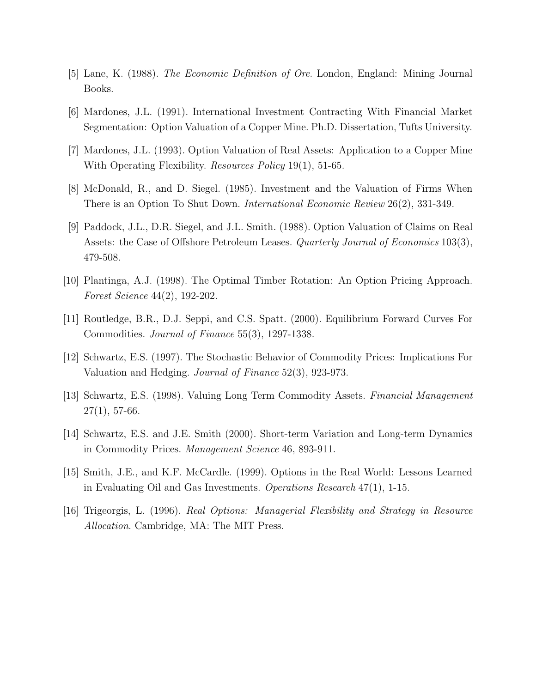- [5] Lane, K. (1988). The Economic Definition of Ore. London, England: Mining Journal Books.
- [6] Mardones, J.L. (1991). International Investment Contracting With Financial Market Segmentation: Option Valuation of a Copper Mine. Ph.D. Dissertation, Tufts University.
- [7] Mardones, J.L. (1993). Option Valuation of Real Assets: Application to a Copper Mine With Operating Flexibility. *Resources Policy* 19(1), 51-65.
- [8] McDonald, R., and D. Siegel. (1985). Investment and the Valuation of Firms When There is an Option To Shut Down. International Economic Review 26(2), 331-349.
- [9] Paddock, J.L., D.R. Siegel, and J.L. Smith. (1988). Option Valuation of Claims on Real Assets: the Case of Offshore Petroleum Leases. *Quarterly Journal of Economics* 103(3), 479-508.
- [10] Plantinga, A.J. (1998). The Optimal Timber Rotation: An Option Pricing Approach. Forest Science 44(2), 192-202.
- [11] Routledge, B.R., D.J. Seppi, and C.S. Spatt. (2000). Equilibrium Forward Curves For Commodities. Journal of Finance 55(3), 1297-1338.
- [12] Schwartz, E.S. (1997). The Stochastic Behavior of Commodity Prices: Implications For Valuation and Hedging. Journal of Finance 52(3), 923-973.
- [13] Schwartz, E.S. (1998). Valuing Long Term Commodity Assets. Financial Management  $27(1)$ , 57-66.
- [14] Schwartz, E.S. and J.E. Smith (2000). Short-term Variation and Long-term Dynamics in Commodity Prices. Management Science 46, 893-911.
- [15] Smith, J.E., and K.F. McCardle. (1999). Options in the Real World: Lessons Learned in Evaluating Oil and Gas Investments. Operations Research 47(1), 1-15.
- [16] Trigeorgis, L. (1996). Real Options: Managerial Flexibility and Strategy in Resource Allocation. Cambridge, MA: The MIT Press.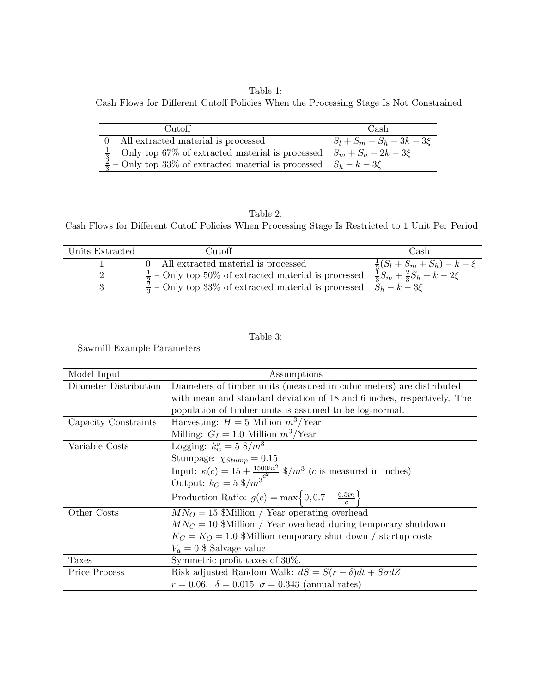Table 1: Cash Flows for Different Cutoff Policies When the Processing Stage Is Not Constrained

| Cutoff                                                                                  | Cash                          |
|-----------------------------------------------------------------------------------------|-------------------------------|
| $0$ – All extracted material is processed                                               | $S_l + S_m + S_h - 3k - 3\xi$ |
| $\frac{1}{3}$ – Only top 67% of extracted material is processed $S_m + S_h - 2k - 3\xi$ |                               |
| $\frac{3}{2}$ – Only top 33% of extracted material is processed $S_h - k - 3\xi$        |                               |

### Table 2:

Cash Flows for Different Cutoff Policies When Processing Stage Is Restricted to 1 Unit Per Period

| Units Extracted | Cutoff                                                                                                                                                                                                                                                         | Cash |
|-----------------|----------------------------------------------------------------------------------------------------------------------------------------------------------------------------------------------------------------------------------------------------------------|------|
|                 |                                                                                                                                                                                                                                                                |      |
|                 | 0 – All extracted material is processed $\frac{\frac{1}{3}(S_l + S_m + S_h) - k - \xi}{\frac{1}{2} - \text{Only top } 50\%$ of extracted material is processed $\frac{\frac{1}{3}S_m + \frac{2}{3}S_h - k - 2\xi}{\frac{1}{3}S_m + \frac{2}{3}S_h - k - 2\xi}$ |      |
|                 | $\frac{2}{2}$ – Only top 33% of extracted material is processed $S_h - k - 3\xi$                                                                                                                                                                               |      |

### Table 3:

Sawmill Example Parameters

| Model Input           | Assumptions                                                                                                                                             |
|-----------------------|---------------------------------------------------------------------------------------------------------------------------------------------------------|
| Diameter Distribution | Diameters of timber units (measured in cubic meters) are distributed                                                                                    |
|                       | with mean and standard deviation of 18 and 6 inches, respectively. The                                                                                  |
|                       | population of timber units is assumed to be log-normal.                                                                                                 |
| Capacity Constraints  | Harvesting: $H = 5$ Million $m^3$ /Year                                                                                                                 |
|                       | Milling: $G_I = 1.0$ Million $m^3$ /Year                                                                                                                |
| Variable Costs        | Logging: $k_{w}^{o} = 5 \frac{8}{m^{3}}$                                                                                                                |
|                       | Stumpage: $\chi_{Stump} = 0.15$                                                                                                                         |
|                       | Input: $\kappa(c) = 15 + \frac{1500in^2}{c^2}$ \$/m <sup>3</sup> ( <i>c</i> is measured in inches)<br>Output: $k_O = 5$ \$/m <sup>3</sup> <sup>c2</sup> |
|                       |                                                                                                                                                         |
|                       | Production Ratio: $g(c) = \max\left\{0, 0.7 - \frac{6.5in}{c}\right\}$                                                                                  |
| Other Costs           | $MN_O = 15$ Whillian / Year operating overhead                                                                                                          |
|                       | $MN_C = 10$ \$Million / Year overhead during temporary shutdown                                                                                         |
|                       | $K_C = K_O = 1.0$ William temporary shut down / startup costs                                                                                           |
|                       | $V_a = 0$ \$ Salvage value                                                                                                                              |
| <b>Taxes</b>          | Symmetric profit taxes of 30%.                                                                                                                          |
| Price Process         | Risk adjusted Random Walk: $dS = S(r - \delta)dt + S\sigma dZ$                                                                                          |
|                       | $r = 0.06, \ \delta = 0.015 \ \sigma = 0.343 \ \text{(annual rates)}$                                                                                   |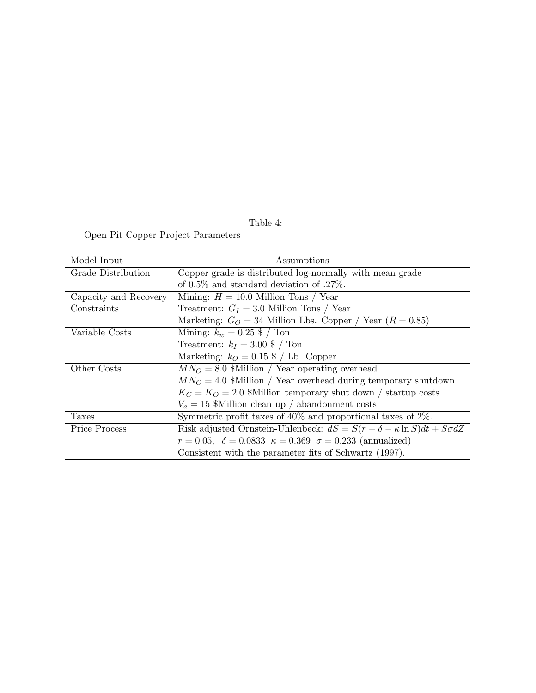Table 4:

Open Pit Copper Project Parameters

| Model Input           | Assumptions                                                                          |
|-----------------------|--------------------------------------------------------------------------------------|
| Grade Distribution    | Copper grade is distributed log-normally with mean grade                             |
|                       | of $0.5\%$ and standard deviation of .27%.                                           |
| Capacity and Recovery | Mining: $H = 10.0$ Million Tons / Year                                               |
| Constraints           | Treatment: $G_I = 3.0$ Million Tons / Year                                           |
|                       | Marketing: $G_O = 34$ Million Lbs. Copper / Year ( $R = 0.85$ )                      |
| Variable Costs        | Mining: $k_w = 0.25$ \$ / Ton                                                        |
|                       | Treatment: $k_I = 3.00 \text{ }$ / Ton                                               |
|                       | Marketing: $k_O = 0.15$ \$ / Lb. Copper                                              |
| Other Costs           | $MN_O = 8.0$ William / Year operating overhead                                       |
|                       | $MN_C = 4.0$ \$Million / Year overhead during temporary shutdown                     |
|                       | $K_C = K_O = 2.0$ \$Million temporary shut down / startup costs                      |
|                       | $V_a = 15$ \$Million clean up / abandonment costs                                    |
| <b>Taxes</b>          | Symmetric profit taxes of $40\%$ and proportional taxes of $2\%$ .                   |
| Price Process         | Risk adjusted Ornstein-Uhlenbeck: $dS = S(r - \delta - \kappa \ln S)dt + S\sigma dZ$ |
|                       | $r = 0.05, \delta = 0.0833 \kappa = 0.369 \sigma = 0.233$ (annualized)               |
|                       | Consistent with the parameter fits of Schwartz (1997).                               |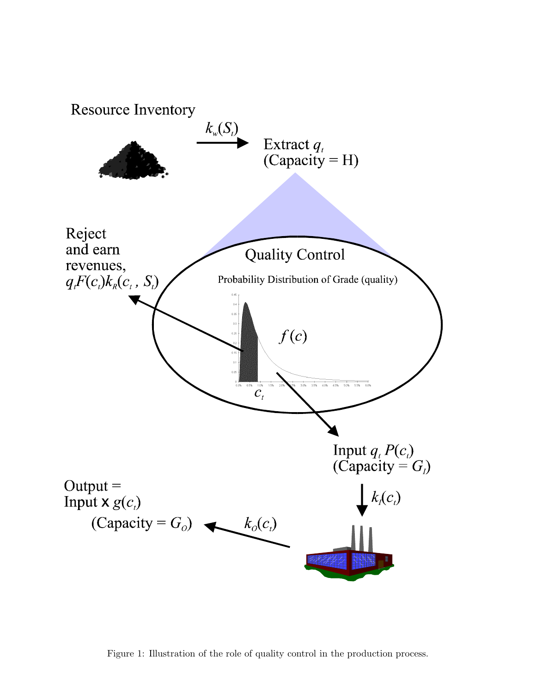

Figure 1: Illustration of the role of quality control in the production process.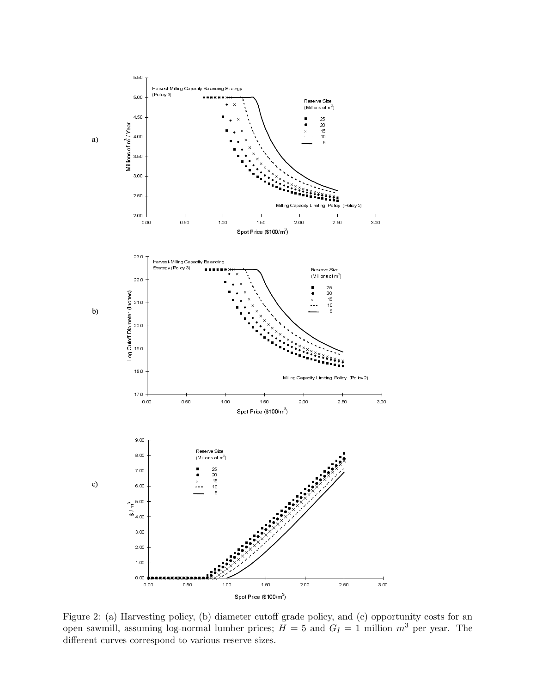

n<br>ve<br>ori spotPrice (\$100/m<sup>3</sup>)<br>sting policy, (b) diameter cutoff grade policy, and (c) oppo<br>ming log-normal lumber prices;  $H = 5$  and  $G_I = 1$  million<br>respond to various reserve sizes. Figure 2: (a) Harvesting policy, (b) diameter cutoff grade policy, and (c) opportunity costs for an open sawmill, assuming log-normal lumber prices;  $H = 5$  and  $G_I = 1$  million  $m^3$  per year. The different curves correspond to various reserve sizes.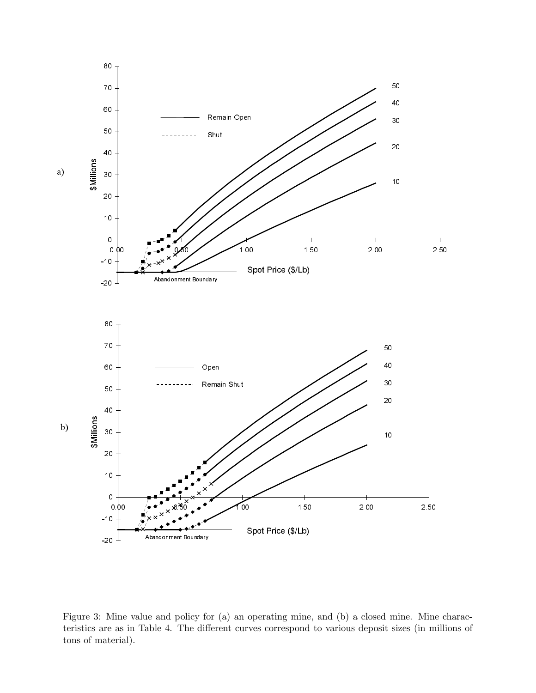

Figure 3: Mine value and policy for (a) an operating mine, and (b) a closed mine. Mine characteristics are as in Table 4. The different curves correspond to various deposit sizes (in millions of tons of material).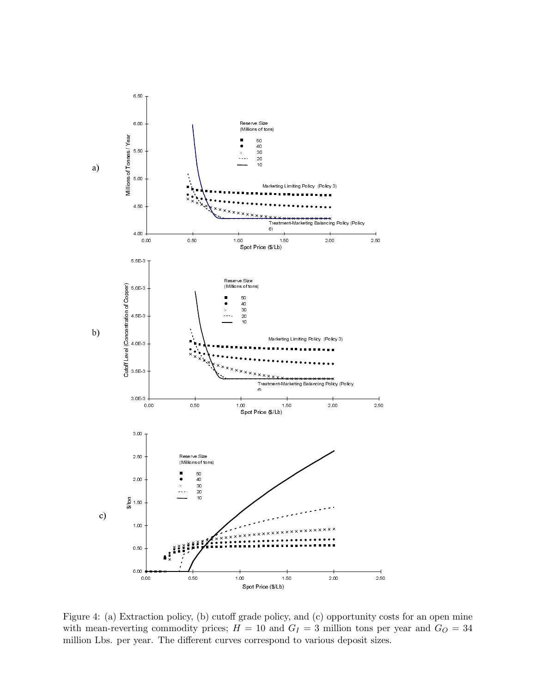

spot Price (\$/Lb)<br>
spot Price (\$/Lb)<br>
(c) opportunity commodity prices;  $H = 10$  and  $G_I = 3$  million tons pear.<br>
The different curves correspond to various deposit size Figure 4: (a) Extraction policy, (b) cutoff grade policy, and (c) opportunity costs for an open mine with mean-reverting commodity prices;  $H = 10$  and  $G_I = 3$  million tons per year and  $G_O = 34$ million Lbs. per year. The different curves correspond to various deposit sizes.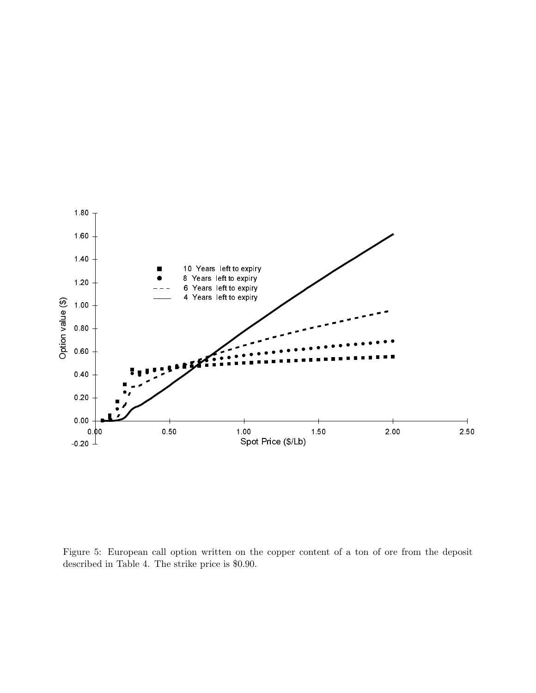

Figure 5: European call option written on the copper content of a ton of ore from the deposit described in Table 4. The strike price is \$0.90.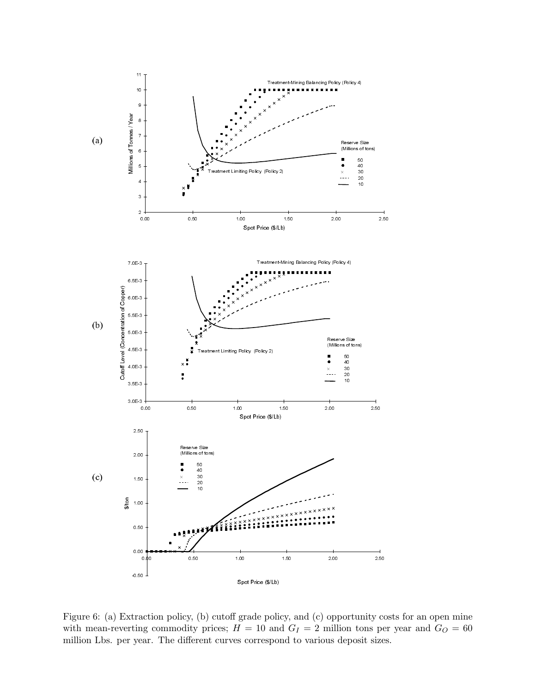

 $\begin{array}{c}\n\text{tra} \\
\text{tin} \\
\text{ye}\n\end{array}$ Figure 6: (a) Extraction policy, (b) cutoff grade policy, and (c) opportunity costs for an open mine with mean-reverting commodity prices;  $H = 10$  and  $G_I = 2$  million tons per year and  $G_O = 60$ million Lbs. per year. The different curves correspond to various deposit sizes.